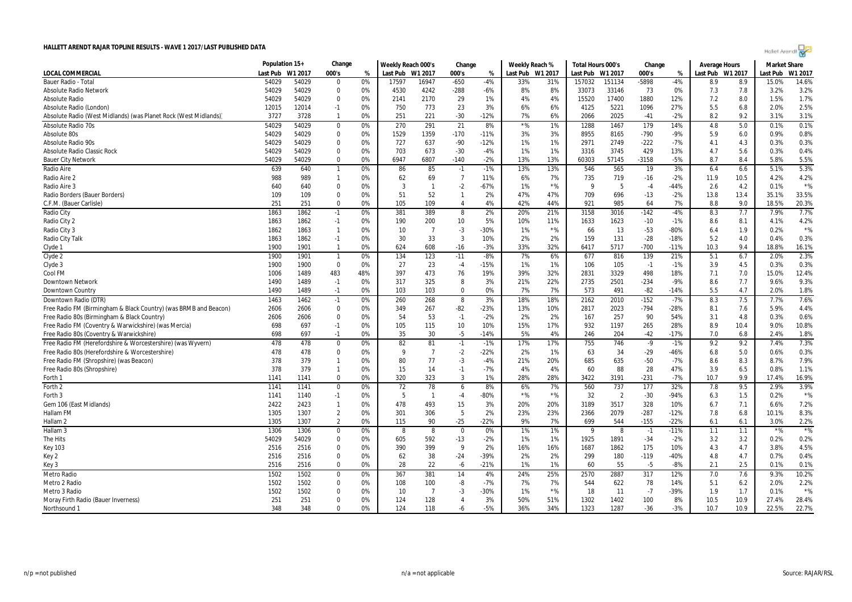| Holet Arendi |  |
|--------------|--|
|--------------|--|

|                                                                  | Population 15+ |         | Change                          |     | Weekly Reach 000's |                      | Change         |        | Weekly Reach % |         | Total Hours 000's |                | Change  |              | <b>Average Hours</b> |      | <b>Market Share</b> |         |
|------------------------------------------------------------------|----------------|---------|---------------------------------|-----|--------------------|----------------------|----------------|--------|----------------|---------|-------------------|----------------|---------|--------------|----------------------|------|---------------------|---------|
| LOCAL COMMERCIAL                                                 | Last Pub       | W1 2017 | 000's                           | %   | Last Pub W1 2017   |                      | 000's          | %      | Last Pub       | W1 2017 | Last Pub          | W1 2017        | 000's   | %            | Last Pub W1 2017     |      | .ast Pub            | W1 2017 |
| Bauer Radio - Total                                              | 54029          | 54029   | $\Omega$                        | 0%  | 17597              | 16947                | $-650$         | $-4%$  | 33%            | 31%     | 157032            | 151134         | -5898   | $-4%$        | 8.9                  | 8.9  | 15.0%               | 14.6%   |
| <b>Absolute Radio Network</b>                                    | 54029          | 54029   | 0                               | 0%  | 4530               | 4242                 | -288           | $-6%$  | 8%             | 8%      | 33073             | 33146          | 73      | 0%           | 7.3                  | 7.8  | 3.2%                | 3.2%    |
| <b>Absolute Radio</b>                                            | 54029          | 54029   | $\mathbf 0$                     | 0%  | 2141               | 2170                 | 29             | 1%     | 4%             | 4%      | 15520             | 17400          | 1880    | 12%          | 7.2                  | 8.0  | 1.5%                | 1.7%    |
| Absolute Radio (London)                                          | 12015          | 12014   | $-1$                            | 0%  | 750                | 773                  | 23             | 3%     | 6%             | 6%      | 4125              | 5221           | 1096    | 27%          | 5.5                  | 6.8  | 2.0%                | 2.5%    |
| Absolute Radio (West Midlands) (was Planet Rock (West Midlands)  | 3727           | 3728    | 1                               | 0%  | 251                | 221                  | $-30$          | -12%   | 7%             | 6%      | 2066              | 2025           | $-41$   | $-2%$        | 8.2                  | 9.2  | 3.1%                | 3.1%    |
| <b>Absolute Radio 70s</b>                                        | 54029          | 54029   | $\mathbf 0$                     | 0%  | 270                | 291                  | 21             | 8%     | $*$ %          | 1%      | 1288              | 1467           | 179     | 14%          | 4.8                  | 5.0  | 0.1%                | 0.1%    |
| Absolute 80s                                                     | 54029          | 54029   | $\mathbf 0$                     | 0%  | 1529               | 1359                 | $-170$         | $-11%$ | 3%             | 3%      | 8955              | 8165           | $-790$  | -9%          | 5.9                  | 6.0  | 0.9%                | 0.8%    |
| <b>Absolute Radio 90s</b>                                        | 54029          | 54029   | $\mathbf 0$                     | 0%  | 727                | 637                  | $-90$          | $-12%$ | 1%             | 1%      | 2971              | 2749           | $-222$  | $-7%$        | 4.1                  | 4.3  | 0.3%                | 0.3%    |
| <b>Absolute Radio Classic Rock</b>                               | 54029          | 54029   | $\mathbf 0$                     | 0%  | 703                | 673                  | $-30$          | $-4%$  | 1%             | 1%      | 3316              | 3745           | 429     | 13%          | 4.7                  | 5.6  | 0.3%                | 0.4%    |
| <b>Bauer City Network</b>                                        | 54029          | 54029   | $\Omega$                        | 0%  | 6947               | 6807                 | $-140$         | $-2%$  | 13%            | 13%     | 60303             | 57145          | $-3158$ | $-5%$        | 8.7                  | 8.4  | 5.8%                | 5.5%    |
| Radio Aire                                                       | 639            | 640     | $\mathbf{1}$                    | 0%  | 86                 | 85                   | $-1$           | $-1%$  | 13%            | 13%     | 546               | 565            | 19      | 3%           | 6.4                  | 6.6  | 5.1%                | 5.3%    |
| Radio Aire 2                                                     | 988            | 989     | 1                               | 0%  | 62                 | 69                   | 7              | 11%    | 6%             | 7%      | 735               | 719            | $-16$   | $-2%$        | 11.9                 | 10.5 | 4.2%                | 4.2%    |
| Radio Aire 3                                                     | 640            | 640     | 0                               | 0%  | 3                  | $\overline{1}$       | $-2$           | $-67%$ | 1%             | $*$ %   | 9                 | 5              | $-4$    | -44%         | 2.6                  | 4.2  | 0.1%                | $*$ %   |
| Radio Borders (Bauer Borders)                                    | 109            | 109     | $\Omega$                        | 0%  | 51                 | 52                   | $\mathbf{1}$   | 2%     | 47%            | 47%     | 709               | 696            | $-13$   | $-2%$        | 13.8                 | 13.4 | 35.1%               | 33.5%   |
| C.F.M. (Bauer Carlisle)                                          | 251            | 251     | $\Omega$                        | 0%  | 105                | 109                  | $\overline{4}$ | 4%     | 42%            | 44%     | 921               | 985            | 64      | 7%           | 8.8                  | 9.0  | 18.5%               | 20.3%   |
| Radio City                                                       | 1863           | 1862    | $-1$                            | 0%  | 381                | 389                  | 8              | 2%     | 20%            | 21%     | 3158              | 3016           | $-142$  | $-4%$        | 8.3                  | 7.7  | 7.9%                | 7.7%    |
| Radio City 2                                                     | 1863           | 1862    | $-1$                            | 0%  | 190                | 200                  | 10             | 5%     | 10%            | 11%     | 1633              | 1623           | $-10$   | $-1%$        | 8.6                  | 8.1  | 4.1%                | 4.2%    |
| Radio City 3                                                     | 1862           | 1863    | $\mathbf{1}$                    | 0%  | 10                 | $\overline{7}$       | $-3$           | -30%   | 1%             | $*$ %   | 66                | 13             | $-53$   | -80%         | 6.4                  | 1.9  | 0.2%                | $*$ %   |
| Radio City Talk                                                  | 1863           | 1862    | $-1$                            | 0%  | 30                 | 33                   | 3              | 10%    | 2%             | 2%      | 159               | 131            | $-28$   | $-18%$       | 5.2                  | 4.0  | 0.4%                | 0.3%    |
| Clyde 1                                                          | 1900           | 1901    | $\mathbf{1}$                    | 0%  | 624                | 608                  | $-16$          | $-3%$  | 33%            | 32%     | 6417              | 5717           | -700    | $-11%$       | 10.3                 | 9.4  | 18.8%               | 16.1%   |
| Clyde 2                                                          | 1900           | 1901    | $\overline{1}$                  | 0%  | 134                | 123                  | $-11$          | $-8%$  | 7%             | 6%      | 677               | 816            | 139     | 21%          | 5.1                  | 6.7  | 2.0%                | 2.3%    |
| Clyde 3                                                          | 1900           | 1900    | $\mathbf 0$                     | 0%  | 27                 | 23                   | $-4$           | $-15%$ | 1%             | 1%      | 106               | 105            | $-1$    | $-1%$        | 3.9                  | 4.5  | 0.3%                | 0.3%    |
| Cool FM                                                          | 1006           | 1489    | 483                             | 48% | 397                | 473                  | 76             | 19%    | 39%            | 32%     | 2831              | 3329           | 498     | 18%          | 7.1                  | 7.0  | 15.0%               | 12.4%   |
| <b>Downtown Network</b>                                          | 1490           | 1489    | $-1$                            | 0%  | 317                | 325                  | 8              | 3%     | 21%            | 22%     | 2735              | 2501           | $-234$  | -9%          | 8.6                  | 7.7  | 9.6%                | 9.3%    |
| Downtown Country                                                 | 1490           | 1489    | $-1$                            | 0%  | 103                | 103                  | $\Omega$       | 0%     | 7%             | 7%      | 573               | 491            | $-82$   | $-14%$       | 5.5                  | 4.7  | 2.0%                | 1.8%    |
| Downtown Radio (DTR)                                             | 1463           | 1462    | $-1$                            | 0%  | 260                | 268                  | 8              | 3%     | 18%            | 18%     | 2162              | 2010           | $-152$  | $-7%$        | 8.3                  | 7.5  | 7.7%                | 7.6%    |
| Free Radio FM (Birmingham & Black Country) (was BRMB and Beacon) | 2606           | 2606    | 0                               | 0%  | 349                | 267                  | $-82$          | $-23%$ | 13%            | 10%     | 2817              | 2023           | $-794$  | -28%         | 8.1                  | 7.6  | 5.9%                | 4.4%    |
| Free Radio 80s (Birmingham & Black Country)                      | 2606           | 2606    | $\Omega$                        | 0%  | 54                 | 53                   | $-1$           | $-2%$  | 2%             | 2%      | 167               | 257            | 90      | 54%          | 3.1                  | 4.8  | 0.3%                | 0.6%    |
| Free Radio FM (Coventry & Warwickshire) (was Mercia)             | 698            | 697     | $-1$                            | 0%  | 105                | 115                  | 10             | 10%    | 15%            | 17%     | 932               | 1197           | 265     | 28%          | 8.9                  | 10.4 | 9.0%                | 10.8%   |
| Free Radio 80s (Coventry & Warwickshire)                         | 698            | 697     | $-1$                            | 0%  | 35                 | 30                   | $-5$           | $-14%$ | 5%             | 4%      | 246               | 204            | $-42$   | $-17%$       | 7.0                  | 6.8  | 2.4%                | 1.8%    |
|                                                                  |                |         |                                 |     |                    |                      |                |        |                |         |                   |                |         |              |                      |      |                     | 7.3%    |
| Free Radio FM (Herefordshire & Worcestershire) (was Wyvern)      | 478            | 478     | $\boldsymbol{0}$<br>$\mathbf 0$ | 0%  | 82<br>9            | 81<br>$\overline{7}$ | $-1$           | $-1%$  | 17%            | 17%     | 755               | 746            | $-9$    | $-1%$        | 9.2                  | 9.2  | 7.4%                |         |
| Free Radio 80s (Herefordshire & Worcestershire)                  | 478            | 478     |                                 | 0%  |                    |                      | $-2$           | $-22%$ | 2%             | 1%      | 63                | 34             | $-29$   | $-46%$       | 6.8                  | 5.0  | 0.6%                | 0.3%    |
| Free Radio FM (Shropshire) (was Beacon)                          | 378            | 379     | $\mathbf{1}$                    | 0%  | 80                 | 77                   | $-3$           | $-4%$  | 21%            | 20%     | 685               | 635            | $-50$   | $-7%$        | 8.6                  | 8.3  | 8.7%                | 7.9%    |
| Free Radio 80s (Shropshire)                                      | 378            | 379     | $\mathbf{1}$<br>$\Omega$        | 0%  | 15                 | 14                   | $-1$<br>3      | $-7%$  | 4%             | 4%      | 60                | 88             | 28      | 47%<br>$-7%$ | 3.9                  | 6.5  | 0.8%                | 1.1%    |
| Forth 1                                                          | 1141           | 1141    |                                 | 0%  | 320                | 323                  |                | 1%     | 28%            | 28%     | 3422              | 3191           | $-231$  |              | 10.7                 | 9.9  | 17.4%               | 16.9%   |
| Forth <sub>2</sub>                                               | 1141           | 1141    | $\mathbf 0$                     | 0%  | 72                 | 78                   | 6              | 8%     | 6%             | 7%      | 560               | 737            | 177     | 32%          | 7.8                  | 9.5  | 2.9%                | 3.9%    |
| Forth 3                                                          | 1141           | 1140    | $-1$                            | 0%  | 5                  | $\overline{1}$       | $-4$           | -80%   | $*$ %          | $*$ %   | 32                | $\overline{2}$ | $-30$   | $-94%$       | 6.3                  | 1.5  | 0.2%                | $*$ %   |
| Gem 106 (East Midlands)                                          | 2422           | 2423    | $\mathbf{1}$                    | 0%  | 478                | 493                  | 15             | 3%     | 20%            | 20%     | 3189              | 3517           | 328     | 10%          | 6.7                  | 7.1  | 6.6%                | 7.2%    |
| Hallam FM                                                        | 1305           | 1307    | $\overline{2}$                  | 0%  | 301                | 306                  | 5              | 2%     | 23%            | 23%     | 2366              | 2079           | $-287$  | $-12%$       | 7.8                  | 6.8  | 10.1%               | 8.3%    |
| Hallam <sub>2</sub>                                              | 1305           | 1307    | $\overline{2}$                  | 0%  | 115                | 90                   | $-25$          | $-22%$ | 9%             | 7%      | 699               | 544            | $-155$  | $-22%$       | 6.1                  | 6.1  | 3.0%                | 2.2%    |
| Hallam <sub>3</sub>                                              | 1306           | 1306    | $\mathbf 0$                     | 0%  | 8                  | 8                    | $\bf{0}$       | 0%     | 1%             | 1%      | 9                 | 8              | $-1$    | $-11%$       | 1.1                  | 1.1  | $*$ %               | $*$ %   |
| The Hits                                                         | 54029          | 54029   | 0                               | 0%  | 605                | 592                  | $-13$          | $-2%$  | 1%             | 1%      | 1925              | 1891           | $-34$   | -2%          | 3.2                  | 3.2  | 0.2%                | 0.2%    |
| <b>Key 103</b>                                                   | 2516           | 2516    | 0                               | 0%  | 390                | 399                  | 9              | 2%     | 16%            | 16%     | 1687              | 1862           | 175     | 10%          | 4.3                  | 4.7  | 3.8%                | 4.5%    |
| Key 2                                                            | 2516           | 2516    | $\mathbf 0$                     | 0%  | 62                 | 38                   | $-24$          | -39%   | 2%             | 2%      | 299               | 180            | $-119$  | -40%         | 4.8                  | 4.7  | 0.7%                | 0.4%    |
| Key 3                                                            | 2516           | 2516    | $\Omega$                        | 0%  | 28                 | 22                   | -6             | $-21%$ | 1%             | 1%      | 60                | 55             | $-5$    | $-8%$        | 2.1                  | 2.5  | 0.1%                | 0.1%    |
| Metro Radio                                                      | 1502           | 1502    | $\mathbf 0$                     | 0%  | 367                | 381                  | 14             | 4%     | 24%            | 25%     | 2570              | 2887           | 317     | 12%          | 7.0                  | 7.6  | 9.3%                | 10.2%   |
| Metro 2 Radio                                                    | 1502           | 1502    | 0                               | 0%  | 108                | 100                  | -8             | $-7%$  | 7%             | 7%      | 544               | 622            | 78      | 14%          | 5.1                  | 6.2  | 2.0%                | 2.2%    |
| Metro 3 Radio                                                    | 1502           | 1502    | $\mathbf 0$                     | 0%  | 10                 | -7                   | $-3$           | -30%   | 1%             | $*$ %   | 18                | 11             | $-7$    | -39%         | 1.9                  | 1.7  | 0.1%                | $*$ %   |
| Moray Firth Radio (Bauer Inverness)                              | 251            | 251     | $\mathbf 0$                     | 0%  | 124                | 128                  | 4              | 3%     | 50%            | 51%     | 1302              | 1402           | 100     | 8%           | 10.5                 | 10.9 | 27.4%               | 28.4%   |
| Northsound 1                                                     | 348            | 348     | $\Omega$                        | 0%  | 124                | 118                  | -6             | $-5%$  | 36%            | 34%     | 1323              | 1287           | $-36$   | $-3%$        | 10.7                 | 10.9 | 22.5%               | 22.7%   |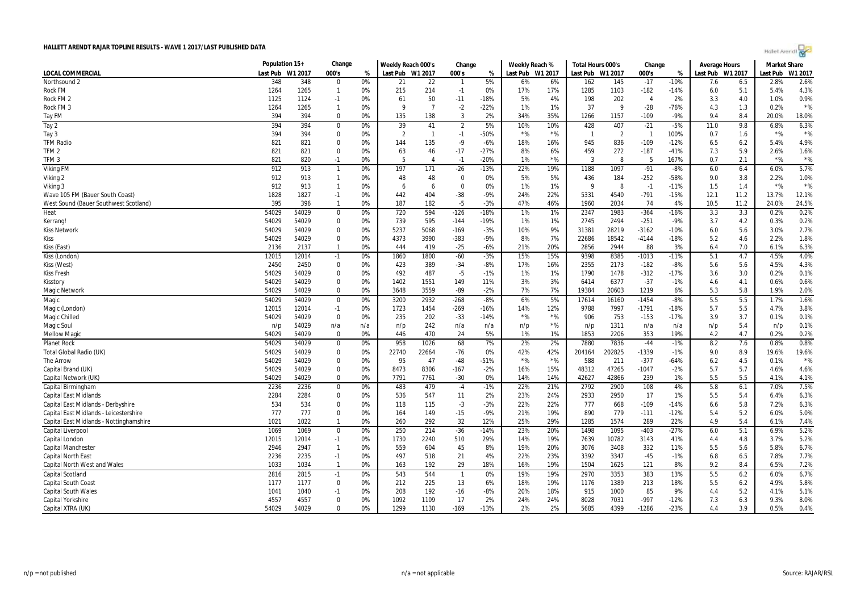| Holet Arendi |  |
|--------------|--|
|--------------|--|

|                                         | Population 15+   |       | Change         |     | Weekly Reach 000's |                | Change         |        | Weekly Reach % |         | Total Hours 000's |                | Change         |        | Average Hours    |      | <b>Market Share</b> |         |
|-----------------------------------------|------------------|-------|----------------|-----|--------------------|----------------|----------------|--------|----------------|---------|-------------------|----------------|----------------|--------|------------------|------|---------------------|---------|
| <b>LOCAL COMMERCIAL</b>                 | Last Pub W1 2017 |       | 000's          | %   | Last Pub W1 2017   |                | 000's          | %      | Last Pub       | W1 2017 | Last Pub W1 2017  |                | 000's          | %      | Last Pub W1 2017 |      | Last Pub            | W1 2017 |
| Northsound 2                            | 348              | 348   | $\Omega$       | 0%  | 21                 | 22             | $\mathbf{1}$   | 5%     | 6%             | 6%      | 162               | 145            | $-17$          | $-10%$ | 7.6              | 6.5  | 2.8%                | 2.6%    |
| <b>Rock FM</b>                          | 1264             | 1265  | $\mathbf{1}$   | 0%  | 215                | 214            | $-1$           | 0%     | 17%            | 17%     | 1285              | 1103           | $-182$         | $-14%$ | 6.0              | 5.1  | 5.4%                | 4.3%    |
| Rock FM <sub>2</sub>                    | 1125             | 1124  | $-1$           | 0%  | 61                 | 50             | $-11$          | $-18%$ | 5%             | 4%      | 198               | 202            | $\overline{4}$ | 2%     | 3.3              | 4.0  | 1.0%                | 0.9%    |
| Rock FM 3                               | 1264             | 1265  | $\mathbf{1}$   | 0%  | 9                  | $\overline{7}$ | $-2$           | $-22%$ | 1%             | 1%      | 37                | 9              | $-28$          | $-76%$ | 4.3              | 1.3  | 0.2%                | $*$ %   |
| Tay FM                                  | 394              | 394   | $\Omega$       | 0%  | 135                | 138            | 3              | 2%     | 34%            | 35%     | 1266              | 1157           | $-109$         | $-9%$  | 9.4              | 8.4  | 20.0%               | 18.0%   |
| Tay 2                                   | 394              | 394   | $\mathbf 0$    | 0%  | 39                 | 41             | $\overline{2}$ | 5%     | 10%            | 10%     | 428               | 407            | $-21$          | $-5%$  | 11.0             | 9.8  | 6.8%                | 6.3%    |
| Tay 3                                   | 394              | 394   | $\mathbf 0$    | 0%  | $\overline{2}$     | $\overline{1}$ | $-1$           | $-50%$ | $*$ %          | $*$ %   | -1                | $\overline{2}$ | $\overline{1}$ | 100%   | 0.7              | 1.6  | $*$ %               | $*$ %   |
| <b>TFM Radio</b>                        | 821              | 821   | $\mathbf 0$    | 0%  | 144                | 135            | $-9$           | $-6%$  | 18%            | 16%     | 945               | 836            | $-109$         | $-12%$ | 6.5              | 6.2  | 5.4%                | 4.9%    |
| TFM 2                                   | 821              | 821   | $\Omega$       | 0%  | 63                 | 46             | $-17$          | $-27%$ | 8%             | 6%      | 459               | 272            | $-187$         | $-41%$ | 7.3              | 5.9  | 2.6%                | 1.6%    |
| TFM <sub>3</sub>                        | 821              | 820   | $-1$           | 0%  | 5                  | $\overline{4}$ | $-1$           | $-20%$ | 1%             | $*$ %   | 3                 | 8              | -5             | 167%   | 0.7              | 2.1  | $*$ %               | $*$ %   |
| <b>Viking FM</b>                        | 912              | 913   | $\mathbf{1}$   | 0%  | 197                | 171            | $-26$          | $-13%$ | 22%            | 19%     | 1188              | 1097           | $-91$          | $-8%$  | 6.0              | 6.4  | 6.0%                | 5.7%    |
| Viking 2                                | 912              | 913   | $\overline{1}$ | 0%  | 48                 | 48             | $\Omega$       | 0%     | 5%             | 5%      | 436               | 184            | $-252$         | $-58%$ | 9.0              | 3.8  | 2.2%                | 1.0%    |
| Viking 3                                | 912              | 913   | $\mathbf{1}$   | 0%  | 6                  | 6              | $\Omega$       | 0%     | 1%             | 1%      | 9                 | 8              | $-1$           | $-11%$ | 1.5              | 1.4  | $*$ %               | $*$ %   |
| Wave 105 FM (Bauer South Coast)         | 1828             | 1827  | $-1$           | 0%  | 442                | 404            | $-38$          | -9%    | 24%            | 22%     | 5331              | 4540           | $-791$         | $-15%$ | 12.1             | 11.2 | 13.7%               | 12.1%   |
| West Sound (Bauer Southwest Scotland)   | 395              | 396   | $\mathbf{1}$   | 0%  | 187                | 182            | $-5$           | $-3%$  | 47%            | 46%     | 1960              | 2034           | 74             | 4%     | 10.5             | 11.2 | 24.0%               | 24.5%   |
| Heat                                    | 54029            | 54029 | $\mathbf 0$    | 0%  | 720                | 594            | $-126$         | $-18%$ | 1%             | 1%      | 2347              | 1983           | $-364$         | $-16%$ | 3.3              | 3.3  | 0.2%                | 0.2%    |
| Kerrang!                                | 54029            | 54029 | $\Omega$       | 0%  | 739                | 595            | $-144$         | $-19%$ | 1%             | 1%      | 2745              | 2494           | $-251$         | $-9%$  | 3.7              | 4.2  | 0.3%                | 0.2%    |
| <b>Kiss Network</b>                     | 54029            | 54029 | $\mathbf 0$    | 0%  | 5237               | 5068           | $-169$         | $-3%$  | 10%            | 9%      | 31381             | 28219          | $-3162$        | $-10%$ | 6.0              | 5.6  | 3.0%                | 2.7%    |
| Kiss                                    | 54029            | 54029 | $\Omega$       | 0%  | 4373               | 3990           | $-383$         | $-9%$  | 8%             | 7%      | 22686             | 18542          | $-4144$        | $-18%$ | 5.2              | 4.6  | 2.2%                | 1.8%    |
| Kiss (East)                             | 2136             | 2137  | $\mathbf{1}$   | 0%  | 444                | 419            | $-25$          | $-6%$  | 21%            | 20%     | 2856              | 2944           | 88             | 3%     | 6.4              | 7.0  | 6.1%                | 6.3%    |
| Kiss (London)                           | 12015            | 12014 | $-1$           | 0%  | 1860               | 1800           | $-60$          | $-3%$  | 15%            | 15%     | 9398              | 8385           | $-1013$        | $-11%$ | 5.1              | 4.7  | 4.5%                | 4.0%    |
| Kiss (West)                             | 2450             | 2450  | $\mathbf 0$    | 0%  | 423                | 389            | $-34$          | $-8%$  | 17%            | 16%     | 2355              | 2173           | $-182$         | $-8%$  | 5.6              | 5.6  | 4.5%                | 4.3%    |
| <b>Kiss Fresh</b>                       | 54029            | 54029 | 0              | 0%  | 492                | 487            | -5             | $-1%$  | 1%             | 1%      | 1790              | 1478           | $-312$         | $-17%$ | 3.6              | 3.0  | 0.2%                | 0.1%    |
| Kisstory                                | 54029            | 54029 | $\mathbf 0$    | 0%  | 1402               | 1551           | 149            | 11%    | 3%             | 3%      | 6414              | 6377           | $-37$          | $-1%$  | 4.6              | 4.1  | 0.6%                | 0.6%    |
| <b>Magic Network</b>                    | 54029            | 54029 | $\mathbf 0$    | 0%  | 3648               | 3559           | $-89$          | $-2%$  | 7%             | 7%      | 19384             | 20603          | 1219           | 6%     | 5.3              | 5.8  | 1.9%                | 2.0%    |
| Magic                                   | 54029            | 54029 | $\Omega$       | 0%  | 3200               | 2932           | $-268$         | $-8%$  | 6%             | 5%      | 17614             | 16160          | $-1454$        | $-8%$  | 5.5              | 5.5  | 1.7%                | 1.6%    |
| Magic (London)                          | 12015            | 12014 | $-1$           | 0%  | 1723               | 1454           | $-269$         | $-16%$ | 14%            | 12%     | 9788              | 7997           | $-1791$        | $-18%$ | 5.7              | 5.5  | 4.7%                | 3.8%    |
| Magic Chilled                           | 54029            | 54029 | $\Omega$       | 0%  | 235                | 202            | $-33$          | $-14%$ | $*$ %          | $*$ %   | 906               | 753            | $-153$         | $-17%$ | 3.9              | 3.7  | 0.1%                | 0.1%    |
| <b>Magic Soul</b>                       | n/p              | 54029 | n/a            | n/a | n/p                | 242            | n/a            | n/a    | n/p            | $*$ %   | n/p               | 1311           | n/a            | n/a    | n/p              | 5.4  | n/p                 | 0.1%    |
| <b>Mellow Magic</b>                     | 54029            | 54029 | $\mathbf 0$    | 0%  | 446                | 470            | 24             | 5%     | 1%             | 1%      | 1853              | 2206           | 353            | 19%    | 4.2              | 4.7  | 0.2%                | 0.2%    |
| <b>Planet Rock</b>                      | 54029            | 54029 | $\mathbf 0$    | 0%  | 958                | 1026           | 68             | 7%     | 2%             | 2%      | 7880              | 7836           | $-44$          | $-1%$  | 8.2              | 7.6  | 0.8%                | 0.8%    |
| Total Global Radio (UK)                 | 54029            | 54029 | $\mathbf 0$    | 0%  | 22740              | 22664          | $-76$          | 0%     | 42%            | 42%     | 204164            | 202825         | $-1339$        | $-1%$  | 9.0              | 8.9  | 19.6%               | 19.6%   |
| The Arrow                               | 54029            | 54029 | $\mathbf 0$    | 0%  | 95                 | 47             | $-48$          | $-51%$ | $*$ %          | $*$ %   | 588               | 211            | $-377$         | $-64%$ | 6.2              | 4.5  | 0.1%                | $*$ %   |
| Capital Brand (UK)                      | 54029            | 54029 | $\mathbf 0$    | 0%  | 8473               | 8306           | $-167$         | $-2%$  | 16%            | 15%     | 48312             | 47265          | $-1047$        | $-2%$  | 5.7              | 5.7  | 4.6%                | 4.6%    |
| Capital Network (UK)                    | 54029            | 54029 | $\Omega$       | 0%  | 7791               | 7761           | $-30$          | 0%     | 14%            | 14%     | 42627             | 42866          | 239            | 1%     | 5.5              | 5.5  | 4.1%                | 4.1%    |
| Capital Birmingham                      | 2236             | 2236  | 0              | 0%  | 483                | 479            | $-4$           | $-1%$  | 22%            | 21%     | 2792              | 2900           | 108            | 4%     | 5.8              | 6.1  | 7.0%                | 7.5%    |
| <b>Capital East Midlands</b>            | 2284             | 2284  | $\mathbf 0$    | 0%  | 536                | 547            | 11             | 2%     | 23%            | 24%     | 2933              | 2950           | 17             | 1%     | 5.5              | 5.4  | 6.4%                | 6.3%    |
| Capital East Midlands - Derbyshire      | 534              | 534   | $\Omega$       | 0%  | 118                | 115            | $-3$           | $-3%$  | 22%            | 22%     | 777               | 668            | $-109$         | $-14%$ | 6.6              | 5.8  | 7.2%                | 6.3%    |
| Capital East Midlands - Leicestershire  | 777              | 777   | $\Omega$       | 0%  | 164                | 149            | $-15$          | $-9%$  | 21%            | 19%     | 890               | 779            | $-111$         | $-12%$ | 5.4              | 5.2  | 6.0%                | 5.0%    |
| Capital East Midlands - Nottinghamshire | 1021             | 1022  | $\mathbf{1}$   | 0%  | 260                | 292            | 32             | 12%    | 25%            | 29%     | 1285              | 1574           | 289            | 22%    | 4.9              | 5.4  | 6.1%                | 7.4%    |
| Capital Liverpool                       | 1069             | 1069  | $\mathbf 0$    | 0%  | 250                | 214            | $-36$          | $-14%$ | 23%            | 20%     | 1498              | 1095           | $-403$         | $-27%$ | 6.0              | 5.1  | 6.9%                | 5.2%    |
| Capital Londor                          | 12015            | 12014 | $-1$           | 0%  | 1730               | 2240           | 510            | 29%    | 14%            | 19%     | 7639              | 10782          | 3143           | 41%    | 4.4              | 4.8  | 3.7%                | 5.2%    |
| <b>Capital Mancheste</b>                | 2946             | 2947  | $\mathbf{1}$   | 0%  | 559                | 604            | 45             | 8%     | 19%            | 20%     | 3076              | 3408           | 332            | 11%    | 5.5              | 5.6  | 5.8%                | 6.7%    |
| <b>Capital North East</b>               | 2236             | 2235  | $-1$           | 0%  | 497                | 518            | 21             | 4%     | 22%            | 23%     | 3392              | 3347           | $-45$          | $-1%$  | 6.8              | 6.5  | 7.8%                | 7.7%    |
| <b>Capital North West and Wales</b>     | 1033             | 1034  | $\mathbf{1}$   | 0%  | 163                | 192            | 29             | 18%    | 16%            | 19%     | 1504              | 1625           | 121            | 8%     | 9.2              | 8.4  | 6.5%                | 7.2%    |
| <b>Capital Scotland</b>                 | 2816             | 2815  | $-1$           | 0%  | 543                | 544            | $\overline{1}$ | 0%     | 19%            | 19%     | 2970              | 3353           | 383            | 13%    | 5.5              | 6.2  | 6.0%                | 6.7%    |
| Capital South Coast                     | 1177             | 1177  | $\mathbf 0$    | 0%  | 212                | 225            | 13             | 6%     | 18%            | 19%     | 1176              | 1389           | 213            | 18%    | 5.5              | 6.2  | 4.9%                | 5.8%    |
| <b>Capital South Wales</b>              | 1041             | 1040  | $-1$           | 0%  | 208                | 192            | $-16$          | -8%    | 20%            | 18%     | 915               | 1000           | 85             | 9%     | 4.4              | 5.2  | 4.1%                | 5.1%    |
| Capital Yorkshire                       | 4557             | 4557  | $\mathbf 0$    | 0%  | 1092               | 1109           | 17             | 2%     | 24%            | 24%     | 8028              | 7031           | $-997$         | $-12%$ | 7.3              | 6.3  | 9.3%                | 8.0%    |
| Capital XTRA (UK)                       | 54029            | 54029 | $\Omega$       | 0%  | 1299               | 1130           | $-169$         | $-13%$ | 2%             | 2%      | 5685              | 4399           | $-1286$        | $-23%$ | 4.4              | 3.9  | 0.5%                | 0.4%    |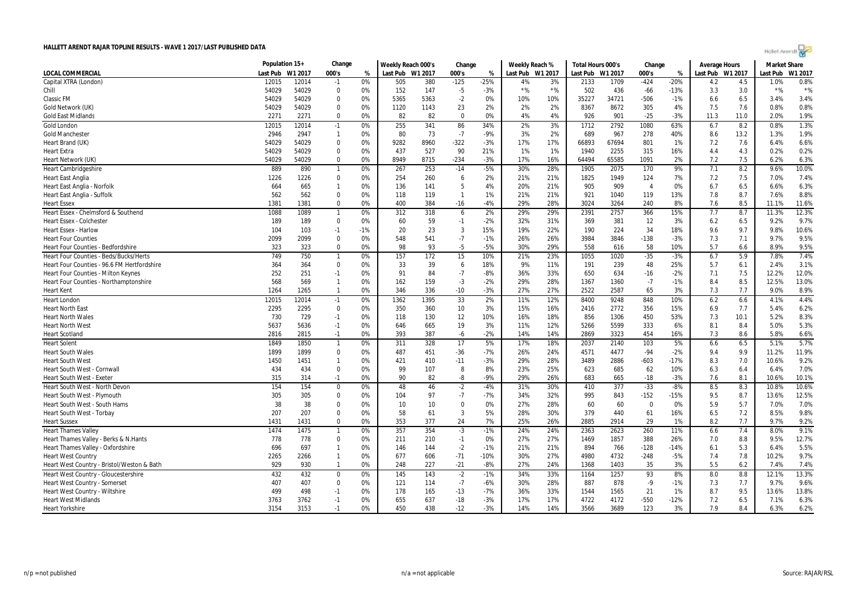| Holet Arendi |  |  |
|--------------|--|--|
|--------------|--|--|

|                                               | Population 15+ |         | Change         |       | Weekly Reach 000's |      | Change         |        | Weekly Reach % |                  | Total Hours 000's |       | Change         |        | Average Hours    |      | <b>Market Share</b> |         |
|-----------------------------------------------|----------------|---------|----------------|-------|--------------------|------|----------------|--------|----------------|------------------|-------------------|-------|----------------|--------|------------------|------|---------------------|---------|
| LOCAL COMMERCIAL                              | Last Pub       | W1 2017 | 000's          | %     | Last Pub W1 2017   |      | 000's          | %      |                | Last Pub W1 2017 | Last Pub W1 2017  |       | 000's          | %      | Last Pub W1 2017 |      | Last Pub            | W1 2017 |
| Capital XTRA (London)                         | 12015          | 12014   | $-1$           | 0%    | 505                | 380  | $-125$         | $-25%$ | 4%             | 3%               | 2133              | 1709  | $-424$         | $-20%$ | 4.2              | 4.5  | 1.0%                | 0.8%    |
| Chill                                         | 54029          | 54029   | 0              | 0%    | 152                | 147  | $-5$           | $-3%$  | $*$ %          | $*$ %            | 502               | 436   | $-66$          | $-13%$ | 3.3              | 3.0  | $*$ %               | $*$ %   |
| Classic FM                                    | 54029          | 54029   | 0              | 0%    | 5365               | 5363 | $-2$           | 0%     | 10%            | 10%              | 35227             | 34721 | $-506$         | $-1%$  | 6.6              | 6.5  | 3.4%                | 3.4%    |
| Gold Network (UK)                             | 54029          | 54029   | $\mathbf 0$    | 0%    | 1120               | 1143 | 23             | 2%     | 2%             | 2%               | 8367              | 8672  | 305            | 4%     | 7.5              | 7.6  | 0.8%                | 0.8%    |
| <b>Gold East Midlands</b>                     | 2271           | 2271    | $\mathbf 0$    | 0%    | 82                 | 82   | $\mathbf 0$    | 0%     | 4%             | 4%               | 926               | 901   | $-25$          | $-3%$  | 11.3             | 11.0 | 2.0%                | 1.9%    |
| <b>Gold London</b>                            | 12015          | 12014   | $-1$           | 0%    | 255                | 341  | 86             | 34%    | 2%             | 3%               | 1712              | 2792  | 1080           | 63%    | 6.7              | 8.2  | 0.8%                | 1.3%    |
| <b>Gold Manchester</b>                        | 2946           | 2947    | $\overline{1}$ | 0%    | 80                 | 73   | $-7$           | $-9%$  | 3%             | 2%               | 689               | 967   | 278            | 40%    | 8.6              | 13.2 | 1.3%                | 1.9%    |
| Heart Brand (UK)                              | 54029          | 54029   | $\mathbf 0$    | 0%    | 9282               | 8960 | $-322$         | $-3%$  | 17%            | 17%              | 66893             | 67694 | 801            | 1%     | 7.2              | 7.6  | 6.4%                | 6.6%    |
| <b>Heart Extra</b>                            | 54029          | 54029   | $\mathbf 0$    | 0%    | 437                | 527  | 90             | 21%    | 1%             | 1%               | 1940              | 2255  | 315            | 16%    | 4.4              | 4.3  | 0.2%                | 0.2%    |
| Heart Network (UK)                            | 54029          | 54029   | 0              | 0%    | 8949               | 8715 | $-234$         | $-3%$  | 17%            | 16%              | 64494             | 65585 | 1091           | 2%     | 7.2              | 7.5  | 6.2%                | 6.3%    |
| <b>Heart Cambridgeshire</b>                   | 889            | 890     | $\overline{1}$ | 0%    | 267                | 253  | $-14$          | $-5%$  | 30%            | 28%              | 1905              | 2075  | 170            | 9%     | 7.1              | 8.2  | 9.6%                | 10.0%   |
| <b>Heart East Anglia</b>                      | 1226           | 1226    | 0              | 0%    | 254                | 260  | 6              | 2%     | 21%            | 21%              | 1825              | 1949  | 124            | 7%     | 7.2              | 7.5  | 7.0%                | 7.4%    |
| Heart East Anglia - Norfolk                   | 664            | 665     | $\overline{1}$ | 0%    | 136                | 141  | 5              | 4%     | 20%            | 21%              | 905               | 909   | $\overline{4}$ | 0%     | 6.7              | 6.5  | 6.6%                | 6.3%    |
| Heart East Anglia - Suffolk                   | 562            | 562     | $\Omega$       | 0%    | 118                | 119  | $\overline{1}$ | 1%     | 21%            | 21%              | 921               | 1040  | 119            | 13%    | 7.8              | 8.7  | 7.6%                | 8.8%    |
| <b>Heart Essex</b>                            | 1381           | 1381    | $\Omega$       | 0%    | 400                | 384  | $-16$          | $-4%$  | 29%            | 28%              | 3024              | 3264  | 240            | 8%     | 7.6              | 8.5  | 11.1%               | 11.6%   |
| Heart Essex - Chelmsford & Southend           | 1088           | 1089    | $\overline{1}$ | 0%    | 312                | 318  | 6              | 2%     | 29%            | 29%              | 2391              | 2757  | 366            | 15%    | 7.7              | 8.7  | 11.3%               | 12.3%   |
| <b>Heart Essex - Colchester</b>               | 189            | 189     | $\mathbf 0$    | 0%    | 60                 | 59   | $-1$           | $-2%$  | 32%            | 31%              | 369               | 381   | 12             | 3%     | 6.2              | 6.5  | 9.2%                | 9.7%    |
| <b>Heart Essex - Harlow</b>                   | 104            | 103     | $-1$           | $-1%$ | 20                 | 23   | 3              | 15%    | 19%            | 22%              | 190               | 224   | 34             | 18%    | 9.6              | 9.7  | 9.8%                | 10.6%   |
| <b>Heart Four Counties</b>                    | 2099           | 2099    | $\mathbf 0$    | 0%    | 548                | 541  | $-7$           | $-1%$  | 26%            | 26%              | 3984              | 3846  | $-138$         | $-3%$  | 7.3              | 7.1  | 9.7%                | 9.5%    |
| Heart Four Counties - Bedfordshire            | 323            | 323     | 0              | 0%    | 98                 | 93   | $-5$           | -5%    | 30%            | 29%              | 558               | 616   | 58             | 10%    | 5.7              | 6.6  | 8.9%                | 9.5%    |
| <b>Heart Four Counties - Beds/Bucks/Herts</b> | 749            | 750     | $\overline{1}$ | 0%    | 157                | 172  | 15             | 10%    | 21%            | 23%              | 1055              | 1020  | $-35$          | $-3%$  | 6.7              | 5.9  | 7.8%                | 7.4%    |
| Heart Four Counties - 96.6 FM Hertfordshire   | 364            | 364     | $\mathbf 0$    | 0%    | 33                 | 39   | 6              | 18%    | 9%             | 11%              | 191               | 239   | 48             | 25%    | 5.7              | 6.1  | 2.4%                | 3.1%    |
| Heart Four Counties - Milton Keynes           | 252            | 251     | $-1$           | 0%    | 91                 | 84   | $-7$           | $-8%$  | 36%            | 33%              | 650               | 634   | $-16$          | $-2%$  | 7.1              | 7.5  | 12.2%               | 12.0%   |
| Heart Four Counties - Northamptonshire        | 568            | 569     | $\overline{1}$ | 0%    | 162                | 159  | $-3$           | $-2%$  | 29%            | 28%              | 1367              | 1360  | $-7$           | $-1%$  | 8.4              | 8.5  | 12.5%               | 13.0%   |
| <b>Heart Kent</b>                             | 1264           | 1265    | $\overline{1}$ | 0%    | 346                | 336  | $-10$          | $-3%$  | 27%            | 27%              | 2522              | 2587  | 65             | 3%     | 7.3              | 7.7  | 9.0%                | 8.9%    |
| <b>Heart London</b>                           | 12015          | 12014   | $-1$           | 0%    | 1362               | 1395 | 33             | 2%     | 11%            | 12%              | 8400              | 9248  | 848            | 10%    | 6.2              | 6.6  | 4.1%                | 4.4%    |
| <b>Heart North East</b>                       | 2295           | 2295    | 0              | 0%    | 350                | 360  | 10             | 3%     | 15%            | 16%              | 2416              | 2772  | 356            | 15%    | 6.9              | 7.7  | 5.4%                | 6.2%    |
| <b>Heart North Wales</b>                      | 730            | 729     | $-1$           | 0%    | 118                | 130  | 12             | 10%    | 16%            | 18%              | 856               | 1306  | 450            | 53%    | 7.3              | 10.1 | 5.2%                | 8.3%    |
| <b>Heart North West</b>                       | 5637           | 5636    | $-1$           | 0%    | 646                | 665  | 19             | 3%     | 11%            | 12%              | 5266              | 5599  | 333            | 6%     | 8.1              | 8.4  | 5.0%                | 5.3%    |
| <b>Heart Scotland</b>                         | 2816           | 2815    | $-1$           | 0%    | 393                | 387  | $-6$           | $-2%$  | 14%            | 14%              | 2869              | 3323  | 454            | 16%    | 7.3              | 8.6  | 5.8%                | 6.6%    |
| <b>Heart Solent</b>                           | 1849           | 1850    | $\overline{1}$ | 0%    | 311                | 328  | 17             | 5%     | 17%            | 18%              | 2037              | 2140  | 103            | 5%     | 6.6              | 6.5  | 5.1%                | 5.7%    |
| <b>Heart South Wales</b>                      | 1899           | 1899    | $\mathbf 0$    | 0%    | 487                | 451  | $-36$          | $-7%$  | 26%            | 24%              | 4571              | 4477  | $-94$          | $-2%$  | 9.4              | 9.9  | 11.2%               | 11.9%   |
| <b>Heart South West</b>                       | 1450           | 1451    | $\overline{1}$ | 0%    | 421                | 410  | $-11$          | $-3%$  | 29%            | 28%              | 3489              | 2886  | $-603$         | $-17%$ | 8.3              | 7.0  | 10.6%               | 9.2%    |
| <b>Heart South West - Cornwall</b>            | 434            | 434     | $\mathbf 0$    | 0%    | 99                 | 107  | 8              | 8%     | 23%            | 25%              | 623               | 685   | 62             | 10%    | 6.3              | 6.4  | 6.4%                | 7.0%    |
| <b>Heart South West - Exeter</b>              | 315            | 314     | $-1$           | 0%    | 90                 | 82   | -8             | $-9%$  | 29%            | 26%              | 683               | 665   | $-18$          | $-3%$  | 7.6              | 8.1  | 10.6%               | 10.1%   |
| <b>Heart South West - North Devon</b>         | 154            | 154     | $\mathbf 0$    | 0%    | 48                 | 46   | $-2$           | -4%    | 31%            | 30%              | 410               | 377   | $-33$          | $-8%$  | 8.5              | 8.3  | 10.8%               | 10.6%   |
| Heart South West - Plymouth                   | 305            | 305     | $\mathbf 0$    | 0%    | 104                | 97   | $-7$           | $-7%$  | 34%            | 32%              | 995               | 843   | $-152$         | $-15%$ | 9.5              | 8.7  | 13.6%               | 12.5%   |
| Heart South West - South Hams                 | 38             | 38      | $\mathbf 0$    | 0%    | 10                 | 10   | $\mathbf 0$    | 0%     | 27%            | 28%              | 60                | 60    | $\Omega$       | 0%     | 5.9              | 5.7  | 7.0%                | 7.0%    |
| Heart South West - Torbay                     | 207            | 207     | $\mathbf 0$    | 0%    | 58                 | 61   | $\overline{3}$ | 5%     | 28%            | 30%              | 379               | 440   | 61             | 16%    | 6.5              | 7.2  | 8.5%                | 9.8%    |
| <b>Heart Sussex</b>                           | 1431           | 1431    | $\Omega$       | 0%    | 353                | 377  | 24             | 7%     | 25%            | 26%              | 2885              | 2914  | 29             | 1%     | 8.2              | 7.7  | 9.7%                | 9.2%    |
| <b>Heart Thames Valley</b>                    | 1474           | 1475    |                | 0%    | 357                | 354  | $-3$           | $-1%$  | 24%            | 24%              | 2363              | 2623  | 260            | 11%    | 6.6              | 7.4  | 8.0%                | 9.1%    |
| Heart Thames Valley - Berks & N. Hants        | 778            | 778     | 0              | 0%    | 211                | 210  | $-1$           | 0%     | 27%            | 27%              | 1469              | 1857  | 388            | 26%    | 7.0              | 8.8  | 9.5%                | 12.7%   |
| Heart Thames Valley - Oxfordshire             | 696            | 697     | $\overline{1}$ | 0%    | 146                | 144  | $-2$           | $-1%$  | 21%            | 21%              | 894               | 766   | $-128$         | $-14%$ | 6.1              | 5.3  | 6.4%                | 5.5%    |
| <b>Heart West Country</b>                     | 2265           | 2266    | $\overline{1}$ | 0%    | 677                | 606  | $-71$          | $-10%$ | 30%            | 27%              | 4980              | 4732  | $-248$         | $-5%$  | 7.4              | 7.8  | 10.2%               | 9.7%    |
| Heart West Country - Bristol/Weston & Bath    | 929            | 930     | $\overline{1}$ | 0%    | 248                | 227  | $-21$          | $-8%$  | 27%            | 24%              | 1368              | 1403  | 35             | 3%     | 5.5              | 6.2  | 7.4%                | 7.4%    |
| Heart West Country - Gloucestershire          | 432            | 432     | $\mathbf 0$    | 0%    | 145                | 143  | $-2$           | $-1%$  | 34%            | 33%              | 1164              | 1257  | 93             | 8%     | 8.0              | 8.8  | 12.1%               | 13.3%   |
| <b>Heart West Country - Somerset</b>          | 407            | 407     | 0              | 0%    | 121                | 114  | $-7$           | -6%    | 30%            | 28%              | 887               | 878   | $-9$           | $-1%$  | 7.3              | 7.7  | 9.7%                | 9.6%    |
| Heart West Country - Wiltshire                | 499            | 498     | $-1$           | 0%    | 178                | 165  | $-13$          | $-7%$  | 36%            | 33%              | 1544              | 1565  | 21             | 1%     | 8.7              | 9.5  | 13.6%               | 13.8%   |
| <b>Heart West Midlands</b>                    | 3763           | 3762    | $-1$           | 0%    | 655                | 637  | $-18$          | $-3%$  | 17%            | 17%              | 4722              | 4172  | $-550$         | $-12%$ | 7.2              | 6.5  | 7.1%                | 6.3%    |
| <b>Heart Yorkshire</b>                        | 3154           | 3153    | $-1$           | 0%    | 450                | 438  | $-12$          | $-3%$  | 14%            | 14%              | 3566              | 3689  | 123            | 3%     | 7.9              | 8.4  | 6.3%                | 6.2%    |
|                                               |                |         |                |       |                    |      |                |        |                |                  |                   |       |                |        |                  |      |                     |         |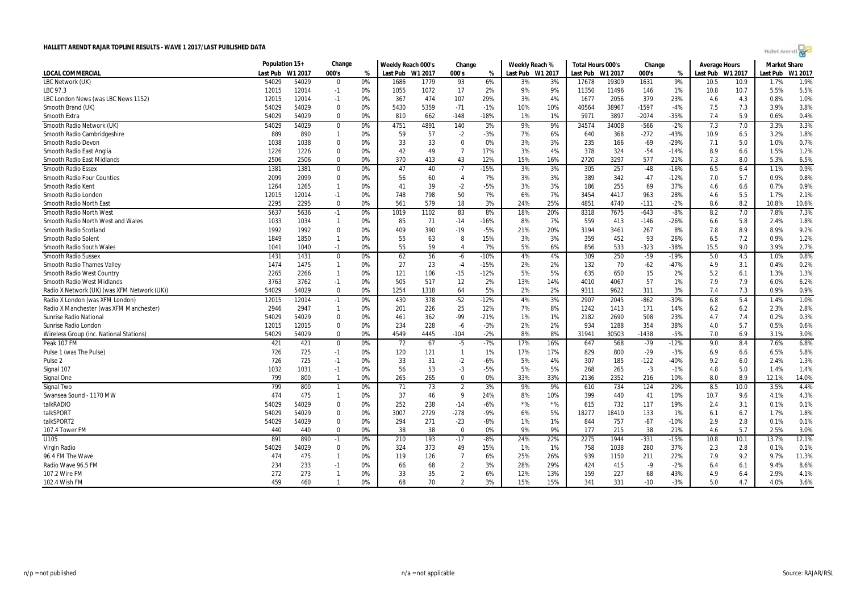|  | Hollet Arendi |  |
|--|---------------|--|
|--|---------------|--|

|                                             | Population 15+ |         | Change         |    | Weekly Reach 000's |         | Change         |        | Weekly Reach %   |       | Total Hours 000's |         | Change  |        | Average Hours   |      | <b>Market Share</b> |         |
|---------------------------------------------|----------------|---------|----------------|----|--------------------|---------|----------------|--------|------------------|-------|-------------------|---------|---------|--------|-----------------|------|---------------------|---------|
| LOCAL COMMERCIAL                            | Last Pub       | W1 2017 | 000's          | %  | Last Pub           | W1 2017 | 000's          | %      | Last Pub W1 2017 |       | Last Pub          | W1 2017 | 000's   | %      | ast Pub W1 2017 |      | Last Pub            | W1 2017 |
| LBC Network (UK)                            | 54029          | 54029   | $\Omega$       | 0% | 1686               | 1779    | 93             | 6%     | 3%               | 3%    | 17678             | 19309   | 1631    | 9%     | 10.5            | 10.9 | 1.7%                | 1.9%    |
| LBC 97.3                                    | 12015          | 12014   | $-1$           | 0% | 1055               | 1072    | 17             | 2%     | 9%               | 9%    | 11350             | 11496   | 146     | 1%     | 10.8            | 10.7 | 5.5%                | 5.5%    |
| LBC London News (was LBC News 1152)         | 12015          | 12014   | $-1$           | 0% | 367                | 474     | 107            | 29%    | 3%               | 4%    | 1677              | 2056    | 379     | 23%    | 4.6             | 4.3  | 0.8%                | 1.0%    |
| Smooth Brand (UK)                           | 54029          | 54029   | $\Omega$       | 0% | 5430               | 5359    | $-71$          | $-1%$  | 10%              | 10%   | 40564             | 38967   | $-1597$ | $-4%$  | 7.5             | 7.3  | 3.9%                | 3.8%    |
| Smooth Extra                                | 54029          | 54029   | $\Omega$       | 0% | 810                | 662     | $-148$         | $-18%$ | 1%               | 1%    | 5971              | 3897    | $-2074$ | $-35%$ | 7.4             | 5.9  | 0.6%                | 0.4%    |
| Smooth Radio Network (UK)                   | 54029          | 54029   | 0              | 0% | 4751               | 4891    | 140            | 3%     | 9%               | 9%    | 34574             | 34008   | $-566$  | $-2%$  | 7.3             | 7.0  | 3.3%                | 3.3%    |
| Smooth Radio Cambridgeshire                 | 889            | 890     | $\mathbf{1}$   | 0% | 59                 | 57      | $-2$           | -3%    | 7%               | 6%    | 640               | 368     | $-272$  | $-43%$ | 10.9            | 6.5  | 3.2%                | 1.8%    |
| Smooth Radio Devon                          | 1038           | 1038    | $\mathbf 0$    | 0% | 33                 | 33      | $\mathbf 0$    | 0%     | 3%               | 3%    | 235               | 166     | $-69$   | $-29%$ | 7.1             | 5.0  | 1.0%                | 0.7%    |
| Smooth Radio East Anglia                    | 1226           | 1226    | $\mathbf 0$    | 0% | 42                 | 49      | $\overline{7}$ | 17%    | 3%               | 4%    | 378               | 324     | $-54$   | $-14%$ | 8.9             | 6.6  | 1.5%                | 1.2%    |
| Smooth Radio East Midlands                  | 2506           | 2506    | $\Omega$       | 0% | 370                | 413     | 43             | 12%    | 15%              | 16%   | 2720              | 3297    | 577     | 21%    | 7.3             | 8.0  | 5.3%                | 6.5%    |
| <b>Smooth Radio Essex</b>                   | 1381           | 1381    | 0              | 0% | 47                 | 40      | $-7$           | $-15%$ | 3%               | 3%    | 305               | 257     | $-48$   | $-16%$ | 6.5             | 6.4  | 1.1%                | 0.9%    |
| <b>Smooth Radio Four Counties</b>           | 2099           | 2099    | $\mathbf 0$    | 0% | 56                 | 60      | $\overline{4}$ | 7%     | 3%               | 3%    | 389               | 342     | $-47$   | $-12%$ | 7.0             | 5.7  | 0.9%                | 0.8%    |
| Smooth Radio Kent                           | 1264           | 1265    | $\mathbf{1}$   | 0% | 41                 | 39      | $-2$           | $-5%$  | 3%               | 3%    | 186               | 255     | 69      | 37%    | 4.6             | 6.6  | 0.7%                | 0.9%    |
| Smooth Radio London                         | 12015          | 12014   | $-1$           | 0% | 748                | 798     | 50             | 7%     | 6%               | 7%    | 3454              | 4417    | 963     | 28%    | 4.6             | 5.5  | 1.7%                | 2.1%    |
| Smooth Radio North East                     | 2295           | 2295    | $\Omega$       | 0% | 561                | 579     | 18             | 3%     | 24%              | 25%   | 4851              | 4740    | $-111$  | $-2%$  | 8.6             | 8.2  | 10.8%               | 10.6%   |
| Smooth Radio North West                     | 5637           | 5636    | $-1$           | 0% | 1019               | 1102    | 83             | 8%     | 18%              | 20%   | 8318              | 7675    | $-643$  | $-8%$  | 8.2             | 7.0  | 7.8%                | 7.3%    |
| Smooth Radio North West and Wales           | 1033           | 1034    | $\mathbf{1}$   | 0% | 85                 | -71     | $-14$          | $-16%$ | 8%               | 7%    | 559               | 413     | $-146$  | $-26%$ | 6.6             | 5.8  | 2.4%                | 1.8%    |
| Smooth Radio Scotland                       | 1992           | 1992    | $\mathbf 0$    | 0% | 409                | 390     | $-19$          | $-5%$  | 21%              | 20%   | 3194              | 3461    | 267     | 8%     | 7.8             | 8.9  | 8.9%                | 9.2%    |
| Smooth Radio Solent                         | 1849           | 1850    | $\mathbf{1}$   | 0% | 55                 | 63      | 8              | 15%    | 3%               | 3%    | 359               | 452     | 93      | 26%    | 6.5             | 7.2  | 0.9%                | 1.2%    |
| Smooth Radio South Wales                    | 1041           | 1040    | $-1$           | 0% | 55                 | 59      | $\overline{4}$ | 7%     | 5%               | 6%    | 856               | 533     | $-323$  | $-38%$ | 15.5            | 9.0  | 3.9%                | 2.7%    |
| <b>Smooth Radio Sussex</b>                  | 1431           | 1431    | $\mathbf 0$    | 0% | 62                 | 56      | $-6$           | $-10%$ | 4%               | 4%    | 309               | 250     | $-59$   | $-19%$ | 5.0             | 4.5  | 1.0%                | 0.8%    |
| <b>Smooth Radio Thames Valley</b>           | 1474           | 1475    | $\overline{1}$ | 0% | 27                 | 23      | $-4$           | $-15%$ | 2%               | 2%    | 132               | 70      | $-62$   | $-47%$ | 4.9             | 3.1  | 0.4%                | 0.2%    |
| Smooth Radio West Country                   | 2265           | 2266    | $\mathbf{1}$   | 0% | 121                | 106     | $-15$          | $-12%$ | 5%               | 5%    | 635               | 650     | 15      | 2%     | 5.2             | 6.1  | 1.3%                | 1.3%    |
| Smooth Radio West Midlands                  | 3763           | 3762    | $-1$           | 0% | 505                | 517     | 12             | 2%     | 13%              | 14%   | 4010              | 4067    | 57      | 1%     | 7.9             | 7.9  | 6.0%                | 6.2%    |
| Radio X Network (UK) (was XFM Network (UK)) | 54029          | 54029   | $\Omega$       | 0% | 1254               | 1318    | 64             | 5%     | 2%               | 2%    | 9311              | 9622    | 311     | 3%     | 7.4             | 7.3  | 0.9%                | 0.9%    |
| Radio X London (was XFM London)             | 12015          | 12014   | $-1$           | 0% | 430                | 378     | $-52$          | $-12%$ | 4%               | 3%    | 2907              | 2045    | $-862$  | $-30%$ | 6.8             | 5.4  | 1.4%                | 1.0%    |
| Radio X Manchester (was XFM Manchester)     | 2946           | 2947    | $\mathbf{1}$   | 0% | 201                | 226     | 25             | 12%    | 7%               | 8%    | 1242              | 1413    | 171     | 14%    | 6.2             | 6.2  | 2.3%                | 2.8%    |
| <b>Sunrise Radio National</b>               | 54029          | 54029   | $\mathbf 0$    | 0% | 461                | 362     | -99            | $-21%$ | 1%               | 1%    | 2182              | 2690    | 508     | 23%    | 4.7             | 7.4  | 0.2%                | 0.3%    |
| Sunrise Radio London                        | 12015          | 12015   | $\mathbf 0$    | 0% | 234                | 228     | -6             | $-3%$  | 2%               | 2%    | 934               | 1288    | 354     | 38%    | 4.0             | 5.7  | 0.5%                | 0.6%    |
| Wireless Group (inc. National Stations)     | 54029          | 54029   | 0              | 0% | 4549               | 4445    | $-104$         | $-2%$  | 8%               | 8%    | 31941             | 30503   | $-1438$ | $-5%$  | 7.0             | 6.9  | 3.1%                | 3.0%    |
| Peak 107 FM                                 | 421            | 421     | $\Omega$       | 0% | 72                 | 67      | $-5$           | $-7%$  | 17%              | 16%   | 647               | 568     | $-79$   | $-12%$ | 9.0             | 8.4  | 7.6%                | 6.8%    |
| Pulse 1 (was The Pulse)                     | 726            | 725     | $-1$           | 0% | 120                | 121     | $\overline{1}$ | 1%     | 17%              | 17%   | 829               | 800     | $-29$   | $-3%$  | 6.9             | 6.6  | 6.5%                | 5.8%    |
| Pulse 2                                     | 726            | 725     | $-1$           | 0% | 33                 | 31      | $-2$           | $-6%$  | 5%               | 4%    | 307               | 185     | $-122$  | $-40%$ | 9.2             | 6.0  | 2.4%                | 1.3%    |
| Signal 107                                  | 1032           | 1031    | $-1$           | 0% | 56                 | 53      | $-3$           | $-5%$  | 5%               | 5%    | 268               | 265     | $-3$    | $-1%$  | 4.8             | 5.0  | 1.4%                | 1.4%    |
| Signal One                                  | 799            | 800     | $\mathbf{1}$   | 0% | 265                | 265     | $\mathbf 0$    | 0%     | 33%              | 33%   | 2136              | 2352    | 216     | 10%    | 8.0             | 8.9  | 12.1%               | 14.0%   |
| Signal Two                                  | 799            | 800     | $\mathbf{1}$   | 0% | 71                 | 73      | $\overline{2}$ | 3%     | 9%               | 9%    | 610               | 734     | 124     | 20%    | 8.5             | 10.0 | 3.5%                | 4.4%    |
| Swansea Sound - 1170 MW                     | 474            | 475     | $\mathbf{1}$   | 0% | 37                 | 46      | 9              | 24%    | 8%               | 10%   | 399               | 440     | 41      | 10%    | 10.7            | 9.6  | 4.1%                | 4.3%    |
| talkRADIO                                   | 54029          | 54029   | $\mathbf 0$    | 0% | 252                | 238     | $-14$          | $-6%$  | $*$ %            | $*$ % | 615               | 732     | 117     | 19%    | 2.4             | 3.1  | 0.1%                | 0.1%    |
| talkSPORT                                   | 54029          | 54029   | $\mathbf 0$    | 0% | 3007               | 2729    | $-278$         | $-9%$  | 6%               | 5%    | 18277             | 18410   | 133     | 1%     | 6.1             | 6.7  | 1.7%                | 1.8%    |
| talkSPORT2                                  | 54029          | 54029   | $\Omega$       | 0% | 294                | 271     | $-23$          | $-8%$  | 1%               | 1%    | 844               | 757     | $-87$   | $-10%$ | 2.9             | 2.8  | 0.1%                | 0.1%    |
| 107.4 Tower FM                              | 440            | 440     | $\Omega$       | 0% | 38                 | 38      | $\Omega$       | 0%     | 9%               | 9%    | 177               | 215     | 38      | 21%    | 4.6             | 5.7  | 2.5%                | 3.0%    |
| U105                                        | 891            | 890     | $-1$           | 0% | 210                | 193     | $-17$          | $-8%$  | 24%              | 22%   | 2275              | 1944    | $-331$  | $-15%$ | 10.8            | 10.1 | 13.7%               | 12.1%   |
| Virgin Radio                                | 54029          | 54029   | $\mathbf 0$    | 0% | 324                | 373     | 49             | 15%    | 1%               | 1%    | 758               | 1038    | 280     | 37%    | 2.3             | 2.8  | 0.1%                | 0.1%    |
| 96.4 FM The Wave                            | 474            | 475     | $\mathbf{1}$   | 0% | 119                | 126     | $\overline{7}$ | 6%     | 25%              | 26%   | 939               | 1150    | 211     | 22%    | 7.9             | 9.2  | 9.7%                | 11.3%   |
| Radio Wave 96.5 FM                          | 234            | 233     | $-1$           | 0% | 66                 | 68      | $\overline{2}$ | 3%     | 28%              | 29%   | 424               | 415     | -9      | $-2%$  | 6.4             | 6.1  | 9.4%                | 8.6%    |
| 107.2 Wire FM                               | 272            | 273     | $\mathbf{1}$   | 0% | 33                 | 35      | $\overline{2}$ | 6%     | 12%              | 13%   | 159               | 227     | 68      | 43%    | 4.9             | 6.4  | 2.9%                | 4.1%    |
| 102.4 Wish FM                               | 459            | 460     | $\mathbf{1}$   | 0% | 68                 | 70      | $\overline{2}$ | 3%     | 15%              | 15%   | 341               | 331     | $-10$   | $-3%$  | 5.0             | 4.7  | 4.0%                | 3.6%    |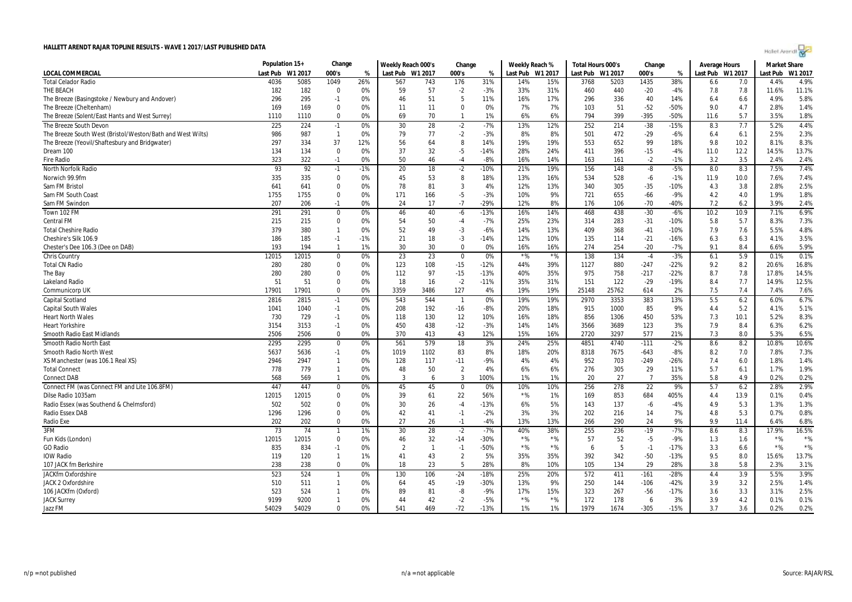|  |  | Hollet Arendt |
|--|--|---------------|
|  |  |               |

|                                                            | Population 15+ |             | Change         |          | Weekly Reach 000's |                | Change         |        | Weekly Reach % |            | Total Hours 000's |         | Change         |        | <b>Average Hours</b> |      | <b>Market Share</b> |         |
|------------------------------------------------------------|----------------|-------------|----------------|----------|--------------------|----------------|----------------|--------|----------------|------------|-------------------|---------|----------------|--------|----------------------|------|---------------------|---------|
| <b>LOCAL COMMERCIAL</b>                                    | Last Pub       | W1 2017     | 000's          | %        | Last Pub W1 2017   |                | 000's          | %      | Last Pub       | W1 2017    | Last Pub          | W1 2017 | 000's          | %      | Last Pub W1 2017     |      | Last Pub            | W1 2017 |
| <b>Total Celador Radio</b>                                 | 4036           | 5085        | 1049           | 26%      | 567                | 743            | 176            | 31%    | 14%            | 15%        | 3768              | 5203    | 1435           | 38%    | 6.6                  | 7.0  | 4.4%                | 4.9%    |
| THE BEACH                                                  | 182            | 182         | 0              | 0%       | 59                 | 57             | $-2$           | $-3%$  | 33%            | 31%        | 460               | 440     | $-20$          | $-4%$  | 7.8                  | 7.8  | 11.6%               | 11.1%   |
| The Breeze (Basingstoke / Newbury and Andover)             | 296            | 295         | $-1$           | 0%       | 46                 | 51             | 5              | 11%    | 16%            | 17%        | 296               | 336     | 40             | 14%    | 6.4                  | 6.6  | 4.9%                | 5.8%    |
| The Breeze (Cheltenham)                                    | 169            | 169         | 0              | 0%       | 11                 | 11             | $\mathbf 0$    | 0%     | 7%             | 7%         | 103               | 51      | $-52$          | -50%   | 9.0                  | 4.7  | 2.8%                | 1.4%    |
| The Breeze (Solent/East Hants and West Surrey)             | 1110           | 1110        | $\mathbf{0}$   | 0%       | 69                 | 70             | 1              | 1%     | 6%             | 6%         | 794               | 399     | $-395$         | -50%   | 11.6                 | 5.7  | 3.5%                | 1.8%    |
| The Breeze South Devon                                     | 225            | 224         | $-1$           | 0%       | 30                 | 28             | $-2$           | $-7%$  | 13%            | 12%        | 252               | 214     | $-38$          | $-15%$ | 8.3                  | 7.7  | 5.2%                | 4.4%    |
| The Breeze South West (Bristol/Weston/Bath and West Wilts) | 986            | 987         | $\overline{1}$ | 0%       | 79                 | 77             | $-2$           | $-3%$  | 8%             | 8%         | 501               | 472     | $-29$          | $-6%$  | 6.4                  | 6.1  | 2.5%                | 2.3%    |
| The Breeze (Yeovil/Shaftesbury and Bridgwater)             | 297            | 334         | 37             | 12%      | 56                 | 64             | 8              | 14%    | 19%            | 19%        | 553               | 652     | 99             | 18%    | 9.8                  | 10.2 | 8.1%                | 8.3%    |
| Dream 100                                                  | 134            | 134         | 0              | 0%       | 37                 | 32             | $-5$           | -14%   | 28%            | 24%        | 411               | 396     | $-15$          | $-4%$  | 11.0                 | 12.2 | 14.5%               | 13.7%   |
| <b>Fire Radio</b>                                          | 323            | 322         | $-1$           | 0%       | 50                 | 46             | $-4$           | $-8%$  | 16%            | 14%        | 163               | 161     | $-2$           | $-1%$  | 3.2                  | 3.5  | 2.4%                | 2.4%    |
| North Norfolk Radio                                        | 93             | 92          | $-1$           | $-1%$    | 20                 | 18             | $-2$           | -10%   | 21%            | 19%        | 156               | 148     | -8             | $-5%$  | 8.0                  | 8.3  | 7.5%                | 7.4%    |
| Norwich 99.9fm                                             | 335            | 335         | $\mathbf 0$    | 0%       | 45                 | 53             | 8              | 18%    | 13%            | 16%        | 534               | 528     | $-6$           | $-1%$  | 11.9                 | 10.0 | 7.6%                | 7.4%    |
| Sam FM Bristol                                             | 641            | 641         | 0              | 0%       | 78                 | 81             | 3              | 4%     | 12%            | 13%        | 340               | 305     | $-35$          | $-10%$ | 4.3                  | 3.8  | 2.8%                | 2.5%    |
| Sam FM South Coast                                         | 1755           | 1755        | $\Omega$       | 0%       | 171                | 166            | $-5$           | $-3%$  | 10%            | 9%         | 721               | 655     | $-66$          | $-9%$  | 4.2                  | 4.0  | 1.9%                | 1.8%    |
| Sam FM Swindon                                             | 207            | 206         | $-1$           | 0%       | 24                 | 17             | $-7$           | $-29%$ | 12%            | 8%         | 176               | 106     | $-70$          | $-40%$ | 7.2                  | 6.2  | 3.9%                | 2.4%    |
| Town 102 FM                                                | 291            | 291         | $\mathbf 0$    | 0%       | 46                 | 40             | $-6$           | $-13%$ | 16%            | 14%        | 468               | 438     | $-30$          | $-6%$  | 10.2                 | 10.9 | 7.1%                | 6.9%    |
| <b>Central FM</b>                                          | 215            | 215         | 0              | 0%       | 54                 | 50             | $-4$           | $-7%$  | 25%            | 23%        | 314               | 283     | $-31$          | $-10%$ | 5.8                  | 5.7  | 8.3%                | 7.3%    |
| <b>Total Cheshire Radio</b>                                | 379            | 380         | $\mathbf{1}$   | 0%       | 52                 | 49             | $-3$           | $-6%$  | 14%            | 13%        | 409               | 368     | $-41$          | $-10%$ | 7.9                  | 7.6  | 5.5%                | 4.8%    |
| Cheshire's Silk 106.9                                      | 186            | 185         | $-1$           | $-1%$    | 21                 | 18             | $-3$           | $-14%$ | 12%            | 10%        | 135               | 114     | $-21$          | $-16%$ | 6.3                  | 6.3  | 4.1%                | 3.5%    |
|                                                            | 193            | 194         | $\overline{1}$ | 1%       | 30                 | 30             | $\mathbf 0$    | 0%     | 16%            | 16%        | 274               | 254     | $-20$          | $-7%$  | 9.1                  | 8.4  | 6.6%                |         |
| Chester's Dee 106.3 (Dee on DAB)                           |                |             |                |          |                    |                |                |        |                |            |                   |         |                |        |                      |      |                     | 5.9%    |
| <b>Chris Country</b>                                       | 12015          | 12015       | 0              | 0%       | 23                 | 23             | $\bf{0}$       | 0%     | $*$ %          | $*$ %      | 138               | 134     | $-4$           | $-3%$  | 6.1                  | 5.9  | 0.1%                | 0.1%    |
| <b>Total CN Radio</b>                                      | 280            | 280         | 0              | 0%       | 123                | 108            | $-15$          | -12%   | 44%            | 39%        | 1127              | 880     | $-247$         | $-22%$ | 9.2                  | 8.2  | 20.6%               | 16.8%   |
| The Bay                                                    | 280            | 280         | 0              | 0%       | 112                | 97             | $-15$          | $-13%$ | 40%            | 35%        | 975               | 758     | $-217$         | $-22%$ | 8.7                  | 7.8  | 17.8%               | 14.5%   |
| Lakeland Radio                                             | 51<br>17901    | 51<br>17901 | 0<br>$\Omega$  | 0%<br>0% | 18<br>3359         | 16             | $-2$           | -11%   | 35%<br>19%     | 31%<br>19% | 151<br>25148      | 122     | $-29$          | $-19%$ | 8.4<br>7.5           | 7.7  | 14.9%               | 12.5%   |
| Communicorp UK                                             |                |             |                |          |                    | 3486           | 127            | 4%     |                |            |                   | 25762   | 614            | 2%     |                      | 7.4  | 7.4%                | 7.6%    |
| <b>Capital Scotland</b>                                    | 2816           | 2815        | $-1$           | 0%       | 543                | 544            | $\overline{1}$ | 0%     | 19%            | 19%        | 2970              | 3353    | 383            | 13%    | 5.5                  | 6.2  | 6.0%                | 6.7%    |
| <b>Capital South Wales</b>                                 | 1041           | 1040        | $-1$           | 0%       | 208                | 192            | $-16$          | $-8%$  | 20%            | 18%        | 915               | 1000    | 85             | 9%     | 4.4                  | 5.2  | 4.1%                | 5.1%    |
| <b>Heart North Wales</b>                                   | 730            | 729         | $-1$           | 0%       | 118                | 130            | 12             | 10%    | 16%            | 18%        | 856               | 1306    | 450            | 53%    | 7.3                  | 10.1 | 5.2%                | 8.3%    |
| <b>Heart Yorkshire</b>                                     | 3154           | 3153        | $-1$           | 0%       | 450                | 438            | $-12$          | $-3%$  | 14%            | 14%        | 3566              | 3689    | 123            | 3%     | 7.9                  | 8.4  | 6.3%                | 6.2%    |
| <b>Smooth Radio East Midlands</b>                          | 2506           | 2506        | $\mathbf 0$    | 0%       | 370                | 413            | 43             | 12%    | 15%            | 16%        | 2720              | 3297    | 577            | 21%    | 7.3                  | 8.0  | 5.3%                | 6.5%    |
| Smooth Radio North East                                    | 2295           | 2295        | $\mathbf 0$    | 0%       | 561                | 579            | 18             | 3%     | 24%            | 25%        | 4851              | 4740    | $-111$         | $-2%$  | 8.6                  | 8.2  | 10.8%               | 10.6%   |
| Smooth Radio North West                                    | 5637           | 5636        | $-1$           | 0%       | 1019               | 1102           | 83             | 8%     | 18%            | 20%        | 8318              | 7675    | $-643$         | $-8%$  | 8.2                  | 7.0  | 7.8%                | 7.3%    |
| XS Manchester (was 106.1 Real XS)                          | 2946           | 2947        | $\mathbf{1}$   | 0%       | 128                | 117            | $-11$          | $-9%$  | 4%             | 4%         | 952               | 703     | $-249$         | $-26%$ | 7.4                  | 6.0  | 1.8%                | 1.4%    |
| <b>Total Connect</b>                                       | 778            | 779         | $\mathbf{1}$   | 0%       | 48                 | 50             | 2              | 4%     | 6%             | 6%         | 276               | 305     | 29             | 11%    | 5.7                  | 6.1  | 1.7%                | 1.9%    |
| <b>Connect DAB</b>                                         | 568            | 569         | $\mathbf{1}$   | 0%       | 3                  | 6              | 3              | 100%   | 1%             | 1%         | 20                | 27      | $\overline{7}$ | 35%    | 5.8                  | 4.9  | 0.2%                | 0.2%    |
| Connect FM (was Connect FM and Lite 106.8FM)               | 447            | 447         | 0              | 0%       | 45                 | 45             | $\bf{0}$       | 0%     | 10%            | 10%        | 256               | 278     | 22             | 9%     | 5.7                  | 6.2  | 2.8%                | 2.9%    |
| Dilse Radio 1035am                                         | 12015          | 12015       | 0              | 0%       | 39                 | 61             | 22             | 56%    | $*$ %          | 1%         | 169               | 853     | 684            | 405%   | 4.4                  | 13.9 | 0.1%                | 0.4%    |
| Radio Essex (was Southend & Chelmsford)                    | 502            | 502         | $\Omega$       | 0%       | 30                 | 26             | $-4$           | $-13%$ | 6%             | 5%         | 143               | 137     | $-6$           | $-4%$  | 4.9                  | 5.3  | 1.3%                | 1.3%    |
| <b>Radio Essex DAB</b>                                     | 1296           | 1296        | $\mathbf 0$    | 0%       | 42                 | 41             | $-1$           | $-2%$  | 3%             | 3%         | 202               | 216     | 14             | 7%     | 4.8                  | 5.3  | 0.7%                | 0.8%    |
| Radio Exe                                                  | 202            | 202         | $\mathbf 0$    | 0%       | 27                 | 26             | $-1$           | $-4%$  | 13%            | 13%        | 266               | 290     | 24             | 9%     | 9.9                  | 11.4 | 6.4%                | 6.8%    |
| 3FM                                                        | 73             | 74          | $\mathbf{1}$   | 1%       | 30                 | 28             | $-2$           | $-7%$  | 40%            | 38%        | 255               | 236     | $-19$          | $-7%$  | 8.6                  | 8.3  | 17.9%               | 16.5%   |
| Fun Kids (London)                                          | 12015          | 12015       | 0              | 0%       | 46                 | 32             | $-14$          | -30%   | $*$ %          | $*$ %      | 57                | 52      | $-5$           | $-9%$  | 1.3                  | 1.6  | $*$ %               | $*$ %   |
| <b>GO Radio</b>                                            | 835            | 834         | $-1$           | 0%       | $\overline{2}$     | $\overline{1}$ | $-1$           | -50%   | $*$ %          | $*$ %      | 6                 | 5       | $-1$           | $-17%$ | 3.3                  | 6.6  | $*$ %               | $*$ %   |
| IOW Radio                                                  | 119            | 120         | $\mathbf{1}$   | 1%       | 41                 | 43             | $\overline{2}$ | 5%     | 35%            | 35%        | 392               | 342     | $-50$          | $-13%$ | 9.5                  | 8.0  | 15.6%               | 13.7%   |
| 107 JACK fm Berkshire                                      | 238            | 238         | 0              | 0%       | 18                 | 23             | 5              | 28%    | 8%             | 10%        | 105               | 134     | 29             | 28%    | 3.8                  | 5.8  | 2.3%                | 3.1%    |
| JACKfm Oxfordshire                                         | 523            | 524         | $\mathbf{1}$   | 0%       | 130                | 106            | $-24$          | $-18%$ | 25%            | 20%        | 572               | 411     | $-161$         | $-28%$ | 4.4                  | 3.9  | 5.5%                | 3.9%    |
| JACK 2 Oxfordshire                                         | 510            | 511         | $\mathbf{1}$   | 0%       | 64                 | 45             | -19            | -30%   | 13%            | 9%         | 250               | 144     | $-106$         | $-42%$ | 3.9                  | 3.2  | 2.5%                | 1.4%    |
| 106 JACKfm (Oxford)                                        | 523            | 524         | $\mathbf{1}$   | 0%       | 89                 | 81             | -8             | $-9%$  | 17%            | 15%        | 323               | 267     | -56            | $-17%$ | 3.6                  | 3.3  | 3.1%                | 2.5%    |
| <b>JACK Surrey</b>                                         | 9199           | 9200        | $\mathbf{1}$   | 0%       | 44                 | 42             | $-2$           | $-5%$  | $*$ %          | $*$ %      | 172               | 178     | 6              | 3%     | 3.9                  | 4.2  | 0.1%                | 0.1%    |
| Jazz FM                                                    | 54029          | 54029       | $\Omega$       | 0%       | 541                | 469            | $-72$          | $-13%$ | 1%             | 1%         | 1979              | 1674    | $-305$         | $-15%$ | 3.7                  | 3.6  | 0.2%                | 0.2%    |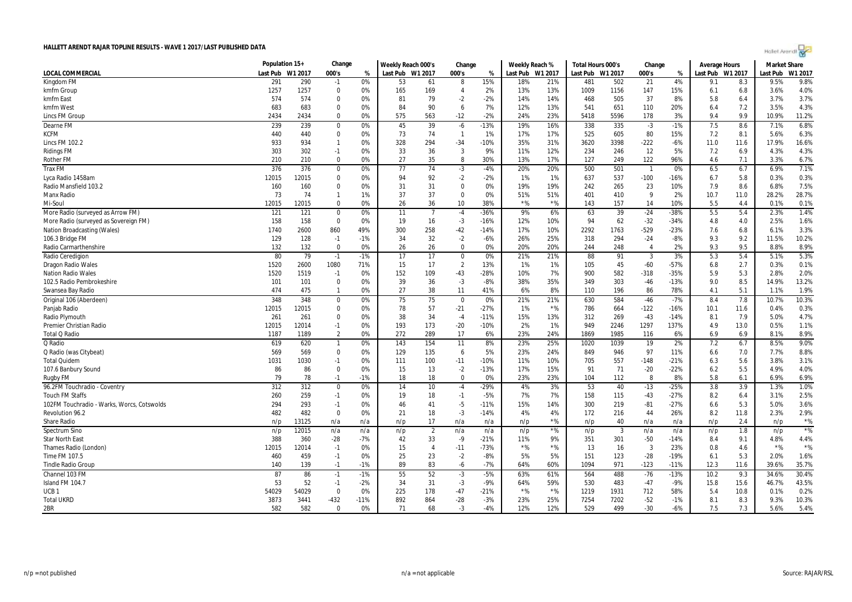| Holet Arendi |  |  |
|--------------|--|--|
|--------------|--|--|

|                                                 | Population 15+ |         | Change                 |          | Weekly Reach 000's |                | Change         |              | Weekly Reach % |                  | Total Hours 000's |              | Change         |        | Average Hours    |             | <b>Market Share</b> |              |
|-------------------------------------------------|----------------|---------|------------------------|----------|--------------------|----------------|----------------|--------------|----------------|------------------|-------------------|--------------|----------------|--------|------------------|-------------|---------------------|--------------|
| <b>LOCAL COMMERCIAL</b>                         | Last Pub       | W1 2017 | 000's                  | %        | Last Pub W1 2017   |                | 000's          | %            |                | Last Pub W1 2017 | Last Pub W1 2017  |              | 000's          | %      | Last Pub W1 2017 |             | Last Pub            | W1 2017      |
| Kingdom FM                                      | 291            | 290     | $-1$                   | 0%       | 53                 | 61             | 8              | 15%          | 18%            | 21%              | 481               | 502          | 21             | 4%     | 9.1              | 8.3         | 9.5%                | 9.8%         |
| kmfm Group                                      | 1257           | 1257    | $\mathbf 0$            | 0%       | 165                | 169            | $\overline{4}$ | 2%           | 13%            | 13%              | 1009              | 1156         | 147            | 15%    | 6.1              | 6.8         | 3.6%                | 4.0%         |
| kmfm East                                       | 574            | 574     | $\Omega$               | 0%       | 81                 | 79             | $-2$           | $-2%$        | 14%            | 14%              | 468               | 505          | 37             | 8%     | 5.8              | 6.4         | 3.7%                | 3.7%         |
| kmfm West                                       | 683            | 683     | $\mathbf 0$            | 0%       | 84                 | 90             | 6              | 7%           | 12%            | 13%              | 541               | 651          | 110            | 20%    | 6.4              | 7.2         | 3.5%                | 4.3%         |
| Lincs FM Group                                  | 2434           | 2434    | $\Omega$               | 0%       | 575                | 563            | $-12$          | $-2%$        | 24%            | 23%              | 5418              | 5596         | 178            | 3%     | 9.4              | 9.9         | 10.9%               | 11.2%        |
| Dearne FM                                       | 239            | 239     | $\overline{0}$         | $0\%$    | 45                 | 39             | $-6$           | $-13%$       | 19%            | 16%              | 338               | 335          | $-3$           | $-1%$  | 7.5              | 8.6         | 7.1%                | 6.8%         |
| <b>KCFM</b>                                     | 440            | 440     | $\Omega$               | 0%       | 73                 | 74             | $\overline{1}$ | 1%           | 17%            | 17%              | 525               | 605          | 80             | 15%    | 7.2              | 8.1         | 5.6%                | 6.3%         |
| <b>Lincs FM 102.2</b>                           | 933            | 934     | $\overline{1}$         | 0%       | 328                | 294            | $-34$          | $-10%$       | 35%            | 31%              | 3620              | 3398         | $-222$         | $-6%$  | 11.0             | 11.6        | 17.9%               | 16.6%        |
| <b>Ridings FM</b>                               | 303            | 302     | $-1$                   | 0%       | 33                 | 36             | 3              | 9%           | 11%            | 12%              | 234               | 246          | 12             | 5%     | 7.2              | 6.9         | 4.3%                | 4.3%         |
| <b>Rother FM</b>                                | 210            | 210     | $\mathbf 0$            | 0%       | 27                 | 35             | 8              | 30%          | 13%            | 17%              | 127               | 249          | 122            | 96%    | 4.6              | 7.1         | 3.3%                | 6.7%         |
| <b>Trax FM</b>                                  | 376            | 376     | $\mathbf 0$            | 0%       | 77                 | 74             | $-3$           | $-4%$        | 20%            | 20%              | 500               | 501          | - 1            | 0%     | 6.5              | 6.7         | 6.9%                | 7.1%         |
| Lyca Radio 1458am                               | 12015          | 12015   | $\Omega$               | 0%       | 94                 | 92             | $-2$           | $-2%$        | 1%             | 1%               | 637               | 537          | $-100$         | $-16%$ | 6.7              | 5.8         | 0.3%                | 0.3%         |
| Radio Mansfield 103.2                           | 160            | 160     | $\Omega$               | 0%       | 31                 | 31             | $\Omega$       | 0%           | 19%            | 19%              | 242               | 265          | 23             | 10%    | 7.9              | 8.6         | 6.8%                | 7.5%         |
| Manx Radio                                      | 73             | 74      | $\mathbf{1}$           | 1%       | 37                 | 37             | $\Omega$       | 0%           | 51%            | 51%              | 401               | 410          | 9              | 2%     | 10.7             | 11.0        | 28.2%               | 28.7%        |
| Mi-Soul                                         | 12015          | 12015   | $\Omega$               | 0%       | 26                 | 36             | 10             | 38%          | $*$ %          | $*$ %            | 143               | 157          | 14             | 10%    | 5.5              | 4.4         | 0.1%                | 0.1%         |
| More Radio (surveyed as Arrow FM)               | 121            | 121     | $\mathbf 0$            | 0%       | 11                 | $\overline{7}$ | $-4$           | $-36%$       | 9%             | 6%               | 63                | 39           | $-24$          | -38%   | 5.5              | 5.4         | 2.3%                | 1.4%         |
| More Radio (surveyed as Sovereign FM)           | 158            | 158     | $\Omega$               | 0%       | 19                 | 16             | $-3$           | $-16%$       | 12%            | 10%              | 94                | 62           | $-32$          | $-34%$ | 4.8              | 4.0         | 2.5%                | 1.6%         |
| Nation Broadcasting (Wales)                     | 1740           | 2600    | 860                    | 49%      | 300                | 258            | $-42$          | $-14%$       | 17%            | 10%              | 2292              | 1763         | $-529$         | $-23%$ | 7.6              | 6.8         | 6.1%                | 3.3%         |
| 106.3 Bridge FM                                 | 129            | 128     | $-1$                   | $-1%$    | 34                 | 32             | $-2$           | $-6%$        | 26%            | 25%              | 318               | 294          | $-24$          | $-8%$  | 9.3              | 9.2         | 11.5%               | 10.2%        |
| Radio Carmarthenshire                           | 132            | 132     | $\Omega$               | 0%       | 26                 | 26             | $\mathbf 0$    | 0%           | 20%            | 20%              | 244               | 248          | $\overline{4}$ | 2%     | 9.3              | 9.5         | 8.8%                | 8.9%         |
| Radio Ceredigion                                | 80             | 79      | $-1$                   | $-1%$    | 17                 | 17             | $\mathbf 0$    | 0%           | 21%            | 21%              | 88                | 91           | 3              | 3%     | 5.3              | 5.4         | 5.1%                | 5.3%         |
| <b>Dragon Radio Wales</b>                       | 1520           | 2600    | 1080                   | 71%      | 15                 | 17             | $\overline{2}$ | 13%          | 1%             | 1%               | 105               | 45           | $-60$          | $-57%$ | 6.8              | 2.7         | 0.3%                | 0.1%         |
| <b>Nation Radio Wales</b>                       | 1520           | 1519    | $-1$                   | 0%       | 152                | 109            | $-43$          | $-28%$       | 10%            | 7%               | 900               | 582          | $-318$         | $-35%$ | 5.9              | 5.3         | 2.8%                | 2.0%         |
| 102.5 Radio Pembrokeshire                       | 101            | 101     | $\mathbf 0$            | 0%       | 39                 | 36             | $-3$           | $-8%$        | 38%            | 35%              | 349               | 303          | $-46$          | $-13%$ | 9.0              | 8.5         | 14.9%               | 13.2%        |
| Swansea Bay Radio                               | 474            | 475     | $\mathbf{1}$           | 0%       | 27                 | 38             | 11             | 41%          | 6%             | 8%               | 110               | 196          | 86             | 78%    | 4.1              | 5.1         | 1.1%                | 1.9%         |
| Original 106 (Aberdeen)                         | 348            | 348     | $\Omega$               | 0%       | 75                 | 75             | $\Omega$       | 0%           | 21%            | 21%              | 630               | 584          | $-46$          | $-7%$  | 8.4              | 7.8         | 10.7%               | 10.3%        |
|                                                 | 12015          | 12015   | $\Omega$               | 0%       | 78                 | 57             | $-21$          | $-27%$       | 1%             | $*$ %            | 786               | 664          | $-122$         | $-16%$ | 10.1             | 11.6        |                     | 0.3%         |
| Panjab Radio                                    |                | 261     | $\Omega$               | 0%       | 38                 | 34             |                | $-11%$       | 15%            | 13%              | 312               | 269          | $-43$          | $-14%$ | 8.1              | 7.9         | 0.4%<br>5.0%        | 4.7%         |
| Radio Plymouth                                  | 261            |         |                        |          |                    |                | $-4$           |              |                |                  | 949               |              |                |        |                  |             |                     |              |
| Premier Christian Radio<br><b>Total Q Radio</b> | 12015          | 12014   | $-1$<br>$\overline{2}$ | 0%<br>0% | 193<br>272         | 173<br>289     | $-20$<br>17    | $-10%$<br>6% | 2%<br>23%      | 1%<br>24%        |                   | 2246<br>1985 | 1297           | 137%   | 4.9<br>6.9       | 13.0<br>6.9 | 0.5%                | 1.1%<br>8.9% |
|                                                 | 1187           | 1189    |                        |          |                    |                |                |              |                |                  | 1869              |              | 116            | 6%     |                  |             | 8.1%                |              |
| Q Radio                                         | 619            | 620     | $\mathbf{1}$           | 0%       | 143                | 154            | 11             | 8%           | 23%            | 25%              | 1020              | 1039         | 19             | 2%     | 7.2              | 6.7         | 8.5%                | 9.0%         |
| Q Radio (was Citybeat)                          | 569            | 569     | $\Omega$               | 0%       | 129                | 135            | 6              | 5%           | 23%            | 24%              | 849               | 946          | 97             | 11%    | 6.6              | 7.0         | 7.7%                | 8.8%         |
| <b>Total Quidem</b>                             | 1031           | 1030    | $-1$                   | 0%       | 111                | 100            | $-11$          | $-10%$       | 11%            | 10%              | 705               | 557          | $-148$         | $-21%$ | 6.3              | 5.6         | 3.8%                | 3.1%         |
| 107.6 Banbury Sound                             | 86             | 86      | $\mathbf 0$            | 0%       | 15                 | 13             | $-2$           | $-13%$       | 17%            | 15%              | 91                | 71           | $-20$<br>8     | $-22%$ | 6.2              | 5.5         | 4.9%                | 4.0%         |
| <b>Rugby FM</b>                                 | 79             | 78      | $-1$                   | $-1%$    | 18                 | 18             | $\mathbf 0$    | 0%           | 23%            | 23%              | 104               | 112          |                | 8%     | 5.8              | 6.1         | 6.9%                | 6.9%         |
| 96.2FM Touchradio - Coventry                    | 312            | 312     | $\mathbf 0$            | 0%       | 14                 | 10             | $-4$           | $-29%$       | 4%             | 3%               | 53                | 40           | $-13$          | $-25%$ | 3.8              | 3.9         | 1.3%                | 1.0%         |
| <b>Touch FM Staffs</b>                          | 260            | 259     | $-1$                   | 0%       | 19                 | 18             | $-1$           | $-5%$        | 7%             | 7%               | 158               | 115          | $-43$          | $-27%$ | 8.2              | 6.4         | 3.1%                | 2.5%         |
| 102FM Touchradio - Warks, Worcs, Cotswolds      | 294            | 293     | $-1$                   | 0%       | 46                 | 41             | $-5$           | $-11%$       | 15%            | 14%              | 300               | 219          | $-81$          | $-27%$ | 6.6              | 5.3         | 5.0%                | 3.6%         |
| Revolution 96.2                                 | 482            | 482     | $\Omega$               | 0%       | 21                 | 18             | $-3$           | $-14%$       | 4%             | 4%               | 172               | 216          | 44             | 26%    | 8.2              | 11.8        | 2.3%                | 2.9%         |
| <b>Share Radio</b>                              | n/p            | 13125   | n/a                    | n/a      | n/p                | 17             | n/a            | n/a          | n/p            | $*$ %            | n/p               | 40           | n/a            | n/a    | n/p              | 2.4         | n/p                 | $*$ %        |
| Spectrum Sino                                   | n/p            | 12015   | n/a                    | n/a      | n/p                | $\overline{2}$ | n/a            | n/a          | n/p            | $*$ %            | n/p               | 3            | n/a            | n/a    | n/p              | 1.8         | n/p                 | $*$ %        |
| <b>Star North East</b>                          | 388            | 360     | $-28$                  | -7%      | 42                 | 33             | $-9$           | $-21%$       | 11%            | 9%               | 351               | 301          | $-50$          | $-14%$ | 8.4              | 9.1         | 4.8%                | 4.4%         |
| Thames Radio (London)                           | 12015          | 12014   | $-1$                   | 0%       | 15                 | $\overline{4}$ | $-11$          | $-73%$       | $*$ %          | $*$ %            | 13                | 16           | 3              | 23%    | 0.8              | 4.6         | $*96$               | $*$ %        |
| Time FM 107.5                                   | 460            | 459     | $-1$                   | 0%       | 25                 | 23             | $-2$           | $-8%$        | 5%             | 5%               | 151               | 123          | $-28$          | $-19%$ | 6.1              | 5.3         | 2.0%                | 1.6%         |
| <b>Tindle Radio Group</b>                       | 140            | 139     | $-1$                   | $-1%$    | 89                 | 83             | $-6$           | $-7%$        | 64%            | 60%              | 1094              | 971          | $-123$         | $-11%$ | 12.3             | 11.6        | 39.6%               | 35.7%        |
| Channel 103 FM                                  | 87             | 86      | $-1$                   | $-1%$    | 55                 | 52             | $-3$           | $-5%$        | 63%            | 61%              | 564               | 488          | $-76$          | $-13%$ | 10.2             | 9.3         | 34.6%               | 30.4%        |
| Island FM 104.7                                 | 53             | 52      | $-1$                   | $-2%$    | 34                 | 31             | $-3$           | $-9%$        | 64%            | 59%              | 530               | 483          | $-47$          | $-9%$  | 15.8             | 15.6        | 46.7%               | 43.5%        |
| UCB <sub>1</sub>                                | 54029          | 54029   | $\Omega$               | 0%       | 225                | 178            | $-47$          | $-21%$       | $*$ %          | $*$ %            | 1219              | 1931         | 712            | 58%    | 5.4              | 10.8        | 0.1%                | 0.2%         |
| <b>Total UKRD</b>                               | 3873           | 3441    | $-432$                 | $-11%$   | 892                | 864            | $-28$          | $-3%$        | 23%            | 25%              | 7254              | 7202         | $-52$          | $-1%$  | 8.1              | 8.3         | 9.3%                | 10.3%        |
| 2BR                                             | 582            | 582     | $\Omega$               | 0%       | 71                 | 68             | $-3$           | $-4%$        | 12%            | 12%              | 529               | 499          | $-30$          | $-6%$  | 7.5              | 7.3         | 5.6%                | 5.4%         |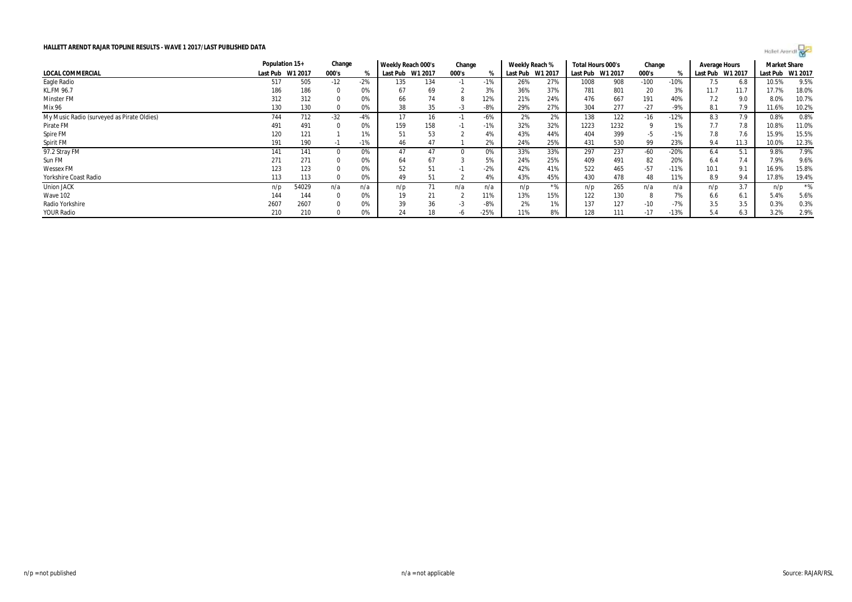

| HALLETT ARENDT RAJAR TOPLINE RESULTS - WAVE 1 2017/LAST PUBLISHED DATA |                |         |          |       |                    |         |        |        |                |         |                   |         |        |        |               | Holet Arendt |                     |         |
|------------------------------------------------------------------------|----------------|---------|----------|-------|--------------------|---------|--------|--------|----------------|---------|-------------------|---------|--------|--------|---------------|--------------|---------------------|---------|
|                                                                        | Population 15+ |         | Change   |       | Weekly Reach 000's |         | Change |        | Weekly Reach % |         | Total Hours 000's |         | Change |        | Average Hours |              | <b>Market Share</b> |         |
| LOCAL COMMERCIAL                                                       | Last Pub       | W1 2017 | 000's    |       | Last Pub           | W1 2017 | 000's  | %      | Last Pub       | W1 2017 | Last Pub          | W1 2017 | 000's  | %      | Last Pub      | W1 2017      | Last Pub            | W1 2017 |
| Eagle Radio                                                            | 517            | 505     | $-12$    | $-2%$ | 135                | 134     | $-1$   | $-1%$  | 26%            | 27%     | 1008              | 908     | $-100$ | $-10%$ | 7.5           | 6.8          | 10.5%               | 9.5%    |
| <b>KL.FM 96.7</b>                                                      | 186            | 186     | $\Omega$ | 0%    | 67                 | 69      |        | 3%     | 36%            | 37%     | 781               | 801     | 20     | 3%     | 11.7          | 11.7         | 17.7%               | 18.0%   |
| <b>Minster FM</b>                                                      | 312            | 312     |          | 0%    | 66                 | 74      | -8     | 12%    | 21%            | 24%     | 476               | 667     | 191    | 40%    | 7.2           | 9.0          | 8.0%                | 10.7%   |
| Mix 96                                                                 | 130            | 130     |          | 0%    | 38                 | 35      | -3     | -8%    | 29%            | 27%     | 304               | 277     | $-27$  | $-9%$  | 8.1           | 7.9          | 11.6%               | 10.2%   |
| My Music Radio (surveyed as Pirate Oldies)                             | 744            | 712     | $-32$    | $-4%$ | 17                 | 16      | - 1    | $-6%$  | 2%             | 2%      | 138               | 122     | $-16$  | $-12%$ | 8.3           | 7.9          | 0.8%                | 0.8%    |
| Pirate FM                                                              | 491            | 491     | $\Omega$ | 0%    | 159                | 158     | - 1    | $-1%$  | 32%            | 32%     | 1223              | 1232    |        | 1%     | 7.7           | 7.8          | 10.8%               | 11.0%   |
| Spire FM                                                               | 120            | 121     |          | 1%    | 51                 | 53      |        | 4%     | 43%            | 44%     | 404               | 399     | -5     | -1%    | 7.8           | 7.6          | 15.9%               | 15.5%   |
| Spirit FM                                                              | 191            | 190     | $-1$     | $-1%$ | 46                 | 47      |        | 2%     | 24%            | 25%     | 431               | 530     | 99     | 23%    | 9.4           | 11.3         | 10.0%               | 12.3%   |
| 97.2 Stray FM                                                          | 141            | 141     | $\Omega$ | 0%    | 47                 | 47      |        | 0%     | 33%            | 33%     | 297               | 237     | $-60$  | $-20%$ | 6.4           | 5.1          | 9.8%                | 7.9%    |
| Sun FM                                                                 | $27^{\circ}$   | 271     | $\Omega$ | 0%    | 64                 | 67      |        | 5%     | 24%            | 25%     | 409               | 491     | 82     | 20%    | 6.4           | 7.4          | 7.9%                | 9.6%    |
| <b>Wessex FM</b>                                                       | 123            | 123     | $\Omega$ | 0%    | 52                 | 51      | - 1    | $-2%$  | 42%            | 41%     | 522               | 465     | $-57$  | $-11%$ | 10.1          | 9.1          | 16.9%               | 15.8%   |
| Yorkshire Coast Radio                                                  | 113            | 113     | - 0      | 0%    | 49                 | 51      |        | 4%     | 43%            | 45%     | 430               | 478     | 48     | 11%    | 8.9           | 9.4          | 17.8%               | 19.4%   |
| <b>Union JACK</b>                                                      | n/p            | 54029   | n/a      | n/a   | n/p                | 71      | n/a    | n/a    | n/p            | *%      | n/p               | 265     | n/a    | n/a    | n/p           | 3.7          | n/p                 | $*$ %   |
| Wave 102                                                               | 144            | 144     | $\Omega$ | 0%    | 19                 | 21      |        | 11%    | 13%            | 15%     | 122               | 130     | 8      | 7%     | 6.6           | 6.1          | 5.4%                | 5.6%    |
| Radio Yorkshire                                                        | 2607           | 2607    |          | 0%    | 39                 | 36      | -3     | $-8%$  | 2%             | 1%      | 137               | 127     | $-10$  | $-7%$  | 3.5           | 3.5          | 0.3%                | 0.3%    |
| <b>YOUR Radio</b>                                                      | 210            | 210     |          | 0%    | 24                 | 18      | -6     | $-25%$ | 11%            | 8%      | 128               | 111     | $-17$  | $-13%$ | 5.4           | 6.3          | 3.2%                | 2.9%    |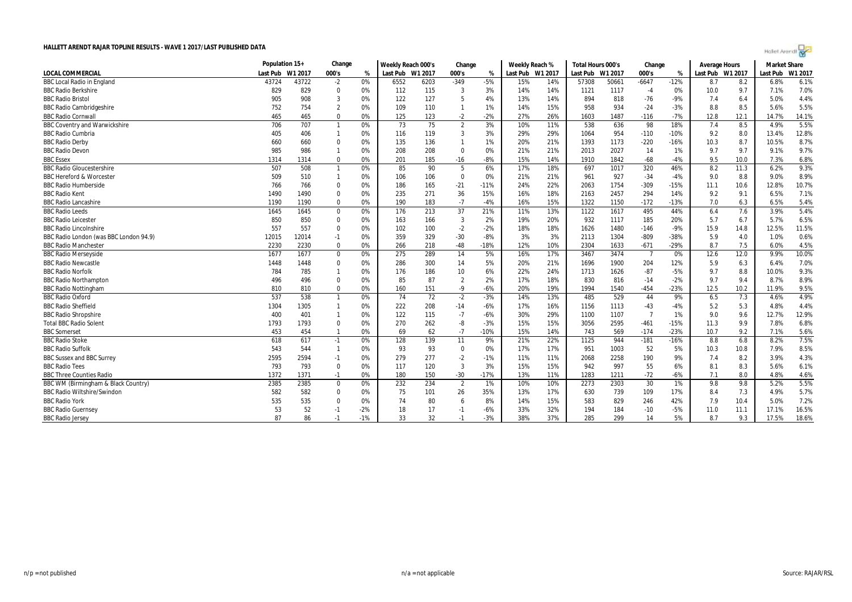| Holet Arendi |  |  |  |  |  |  |  |  |
|--------------|--|--|--|--|--|--|--|--|
|--------------|--|--|--|--|--|--|--|--|

|                                        | Population 15+ |         | Change         |       | Weekly Reach 000's |      | Change         |        | Weekly Reach %   |     | Total Hours 000's |         | Change         |        | <b>Average Hours</b> |      | <b>Market Share</b> |         |
|----------------------------------------|----------------|---------|----------------|-------|--------------------|------|----------------|--------|------------------|-----|-------------------|---------|----------------|--------|----------------------|------|---------------------|---------|
| LOCAL COMMERCIAL                       | Last Pub       | W1 2017 | 000's          | $\%$  | Last Pub W1 2017   |      | 000's          | %      | Last Pub W1 2017 |     | Last Pub          | W1 2017 | 000's          | %      | Last Pub W1 2017     |      | Last Pub            | W1 2017 |
| <b>BBC Local Radio in England</b>      | 43724          | 43722   | $-2$           | 0%    | 6552               | 6203 | $-349$         | $-5%$  | 15%              | 14% | 57308             | 50661   | $-6647$        | $-12%$ | 8.7                  | 8.2  | 6.8%                | 6.1%    |
| <b>BBC Radio Berkshire</b>             | 829            | 829     | $\mathbf{0}$   | 0%    | 112                | 115  | 3              | 3%     | 14%              | 14% | 1121              | 1117    | $-4$           | 0%     | 10.0                 | 9.7  | 7.1%                | 7.0%    |
| <b>BBC Radio Bristol</b>               | 905            | 908     | 3              | 0%    | 122                | 127  | 5              | 4%     | 13%              | 14% | 894               | 818     | $-76$          | $-9%$  | 7.4                  | 6.4  | 5.0%                | 4.4%    |
| <b>BBC Radio Cambridgeshire</b>        | 752            | 754     | $\overline{2}$ | 0%    | 109                | 110  |                | 1%     | 14%              | 15% | 958               | 934     | $-24$          | $-3%$  | 8.8                  | 8.5  | 5.6%                | 5.5%    |
| <b>BBC Radio Cornwall</b>              | 465            | 465     | $\mathbf 0$    | 0%    | 125                | 123  | $-2$           | $-2%$  | 27%              | 26% | 1603              | 1487    | $-116$         | $-7%$  | 12.8                 | 12.1 | 14.7%               | 14.1%   |
| <b>BBC Coventry and Warwickshire</b>   | 706            | 707     | $\overline{1}$ | 0%    | 73                 | 75   | $\overline{2}$ | 3%     | 10%              | 11% | 538               | 636     | 98             | 18%    | 7.4                  | 8.5  | 4.9%                | 5.5%    |
| <b>BBC Radio Cumbria</b>               | 405            | 406     | $\mathbf{1}$   | 0%    | 116                | 119  | 3              | 3%     | 29%              | 29% | 1064              | 954     | $-110$         | $-10%$ | 9.2                  | 8.0  | 13.4%               | 12.8%   |
| <b>BBC Radio Derby</b>                 | 660            | 660     | $\mathbf 0$    | 0%    | 135                | 136  |                | 1%     | 20%              | 21% | 1393              | 1173    | $-220$         | $-16%$ | 10.3                 | 8.7  | 10.5%               | 8.7%    |
| <b>BBC Radio Devon</b>                 | 985            | 986     | $\mathbf{1}$   | 0%    | 208                | 208  | $\Omega$       | 0%     | 21%              | 21% | 2013              | 2027    | 14             | 1%     | 9.7                  | 9.7  | 9.1%                | 9.7%    |
| <b>BBC Essex</b>                       | 1314           | 1314    | $\mathbf{0}$   | 0%    | 201                | 185  | $-16$          | $-8%$  | 15%              | 14% | 1910              | 1842    | $-68$          | $-4%$  | 9.5                  | 10.0 | 7.3%                | 6.8%    |
| <b>BBC Radio Gloucestershire</b>       | 507            | 508     | $\mathbf{1}$   | 0%    | 85                 | 90   | 5              | 6%     | 17%              | 18% | 697               | 1017    | 320            | 46%    | 8.2                  | 11.3 | 6.2%                | 9.3%    |
| <b>BBC Hereford &amp; Worcester</b>    | 509            | 510     | $\mathbf{1}$   | 0%    | 106                | 106  | 0              | 0%     | 21%              | 21% | 961               | 927     | $-34$          | $-4%$  | 9.0                  | 8.8  | 9.0%                | 8.9%    |
| <b>BBC Radio Humberside</b>            | 766            | 766     | $\mathbf 0$    | 0%    | 186                | 165  | $-21$          | $-11%$ | 24%              | 22% | 2063              | 1754    | $-309$         | $-15%$ | 11.1                 | 10.6 | 12.8%               | 10.7%   |
| <b>BBC Radio Kent</b>                  | 1490           | 1490    | $\mathbf 0$    | 0%    | 235                | 271  | 36             | 15%    | 16%              | 18% | 2163              | 2457    | 294            | 14%    | 9.2                  | 9.1  | 6.5%                | 7.1%    |
| <b>BBC Radio Lancashire</b>            | 1190           | 1190    | $\Omega$       | 0%    | 190                | 183  | $-7$           | $-4%$  | 16%              | 15% | 1322              | 1150    | $-172$         | $-13%$ | 7.0                  | 6.3  | 6.5%                | 5.4%    |
| <b>BBC Radio Leeds</b>                 | 1645           | 1645    | $\mathbf 0$    | 0%    | 176                | 213  | 37             | 21%    | 11%              | 13% | 1122              | 1617    | 495            | 44%    | 6.4                  | 7.6  | 3.9%                | 5.4%    |
| <b>BBC Radio Leicester</b>             | 850            | 850     | 0              | 0%    | 163                | 166  | 3              | 2%     | 19%              | 20% | 932               | 1117    | 185            | 20%    | 5.7                  | 6.7  | 5.7%                | 6.5%    |
| <b>BBC Radio Lincolnshire</b>          | 557            | 557     | $\Omega$       | 0%    | 102                | 100  | $-2$           | $-2%$  | 18%              | 18% | 1626              | 1480    | $-146$         | $-9%$  | 15.9                 | 14.8 | 12.5%               | 11.5%   |
| BBC Radio London (was BBC London 94.9) | 12015          | 12014   | $-1$           | 0%    | 359                | 329  | $-30$          | -8%    | 3%               | 3%  | 2113              | 1304    | $-809$         | -38%   | 5.9                  | 4.0  | 1.0%                | 0.6%    |
| <b>BBC Radio Manchester</b>            | 2230           | 2230    | $\Omega$       | 0%    | 266                | 218  | $-48$          | $-18%$ | 12%              | 10% | 2304              | 1633    | $-671$         | $-29%$ | 8.7                  | 7.5  | 6.0%                | 4.5%    |
| <b>BBC Radio Merseyside</b>            | 1677           | 1677    | $\mathbf 0$    | 0%    | 275                | 289  | 14             | 5%     | 16%              | 17% | 3467              | 3474    | - 7            | 0%     | 12.6                 | 12.0 | 9.9%                | 10.0%   |
| <b>BBC Radio Newcastle</b>             | 1448           | 1448    | $\mathbf 0$    | 0%    | 286                | 300  | 14             | 5%     | 20%              | 21% | 1696              | 1900    | 204            | 12%    | 5.9                  | 6.3  | 6.4%                | 7.0%    |
| <b>BBC Radio Norfolk</b>               | 784            | 785     | $\mathbf{1}$   | 0%    | 176                | 186  | 10             | 6%     | 22%              | 24% | 1713              | 1626    | $-87$          | $-5%$  | 9.7                  | 8.8  | 10.0%               | 9.3%    |
| <b>BBC Radio Northampton</b>           | 496            | 496     | $\mathbf 0$    | 0%    | 85                 | 87   | $\overline{2}$ | 2%     | 17%              | 18% | 830               | 816     | $-14$          | $-2%$  | 9.7                  | 9.4  | 8.7%                | 8.9%    |
| <b>BBC Radio Nottingham</b>            | 810            | 810     | $\Omega$       | 0%    | 160                | 151  | $-9$           | $-6%$  | 20%              | 19% | 1994              | 1540    | $-454$         | $-23%$ | 12.5                 | 10.2 | 11.9%               | 9.5%    |
| <b>BBC Radio Oxford</b>                | 537            | 538     | $\mathbf{1}$   | 0%    | 74                 | 72   | $-2$           | $-3%$  | 14%              | 13% | 485               | 529     | 44             | 9%     | 6.5                  | 7.3  | 4.6%                | 4.9%    |
| <b>BBC Radio Sheffield</b>             | 1304           | 1305    | $\mathbf{1}$   | 0%    | 222                | 208  | $-14$          | $-6%$  | 17%              | 16% | 1156              | 1113    | $-43$          | $-4%$  | 5.2                  | 5.3  | 4.8%                | 4.4%    |
| <b>BBC Radio Shropshire</b>            | 400            | 401     | $\mathbf{1}$   | 0%    | 122                | 115  | $-7$           | $-6%$  | 30%              | 29% | 1100              | 1107    | $\overline{7}$ | 1%     | 9.0                  | 9.6  | 12.7%               | 12.9%   |
| <b>Total BBC Radio Solent</b>          | 1793           | 1793    | $\mathbf 0$    | 0%    | 270                | 262  | -8             | $-3%$  | 15%              | 15% | 3056              | 2595    | $-461$         | $-15%$ | 11.3                 | 9.9  | 7.8%                | 6.8%    |
| <b>BBC</b> Somerset                    | 453            | 454     | $\mathbf{1}$   | 0%    | 69                 | 62   | $-7$           | $-10%$ | 15%              | 14% | 743               | 569     | $-174$         | $-23%$ | 10.7                 | 9.2  | 7.1%                | 5.6%    |
| <b>BBC</b> Radio Stoke                 | 618            | 617     | $-1$           | 0%    | 128                | 139  | 11             | 9%     | 21%              | 22% | 1125              | 944     | $-181$         | $-16%$ | 8.8                  | 6.8  | 8.2%                | 7.5%    |
| <b>BBC Radio Suffolk</b>               | 543            | 544     | $\mathbf{1}$   | 0%    | 93                 | 93   | $\Omega$       | 0%     | 17%              | 17% | 951               | 1003    | 52             | 5%     | 10.3                 | 10.8 | 7.9%                | 8.5%    |
| <b>BBC Sussex and BBC Surrey</b>       | 2595           | 2594    | $-1$           | 0%    | 279                | 277  | $-2$           | $-1%$  | 11%              | 11% | 2068              | 2258    | 190            | 9%     | 7.4                  | 8.2  | 3.9%                | 4.3%    |
| <b>BBC Radio Tees</b>                  | 793            | 793     | $\mathbf 0$    | 0%    | 117                | 120  | $\overline{3}$ | 3%     | 15%              | 15% | 942               | 997     | 55             | 6%     | 8.1                  | 8.3  | 5.6%                | 6.1%    |
| <b>BBC Three Counties Radio</b>        | 1372           | 1371    | $-1$           | 0%    | 180                | 150  | $-30$          | $-17%$ | 13%              | 11% | 1283              | 1211    | $-72$          | $-6%$  | 7.1                  | 8.0  | 4.8%                | 4.6%    |
| BBC WM (Birmingham & Black Country)    | 2385           | 2385    | $\mathbf 0$    | 0%    | 232                | 234  | $\overline{2}$ | 1%     | 10%              | 10% | 2273              | 2303    | 30             | 1%     | 9.8                  | 9.8  | 5.2%                | 5.5%    |
| <b>BBC Radio Wiltshire/Swindon</b>     | 582            | 582     | 0              | 0%    | 75                 | 101  | 26             | 35%    | 13%              | 17% | 630               | 739     | 109            | 17%    | 8.4                  | 7.3  | 4.9%                | 5.7%    |
| <b>BBC Radio York</b>                  | 535            | 535     | 0              | 0%    | 74                 | 80   | 6              | 8%     | 14%              | 15% | 583               | 829     | 246            | 42%    | 7.9                  | 10.4 | 5.0%                | 7.2%    |
| <b>BBC Radio Guernsey</b>              | 53             | 52      | $-1$           | $-2%$ | 18                 | 17   | $-1$           | $-6%$  | 33%              | 32% | 194               | 184     | $-10$          | $-5%$  | 11.0                 | 11.1 | 17.1%               | 16.5%   |
| <b>BBC Radio Jersey</b>                | 87             | 86      | $-1$           | $-1%$ | 33                 | 32   | $-1$           | $-3%$  | 38%              | 37% | 285               | 299     | 14             | 5%     | 8.7                  | 9.3  | 17.5%               | 18.6%   |